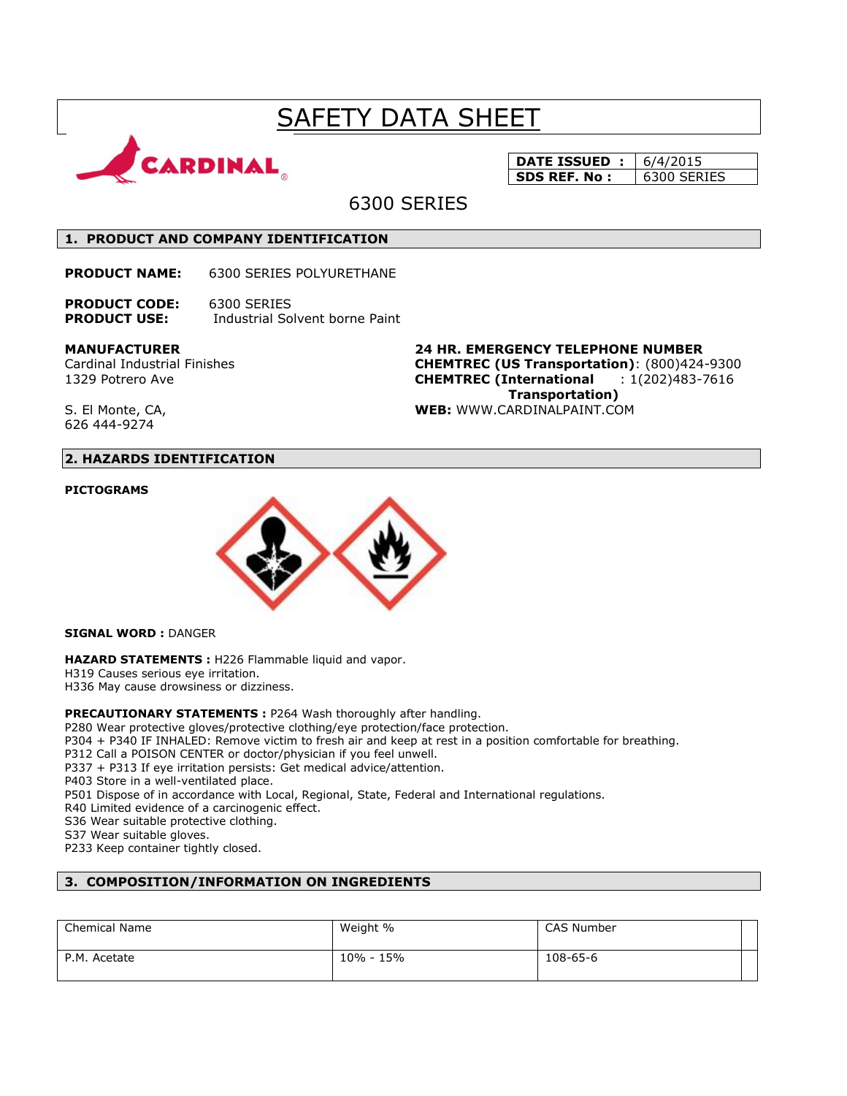# **SAFETY DATA SHEET**



| <b>DATE ISSUED</b> : 16/4/2015 |                      |
|--------------------------------|----------------------|
| SDS REF. No:                   | $\sqrt{6300}$ SERIES |

6300 SERIES

## **1. PRODUCT AND COMPANY IDENTIFICATION**

## **PRODUCT NAME:** 6300 SERIES POLYURETHANE

| <b>PRODUCT CODE:</b> | 6300 SERIES                    |
|----------------------|--------------------------------|
| <b>PRODUCT USE:</b>  | Industrial Solvent borne Paint |

#### **MANUFACTURER**

Cardinal Industrial Finishes 1329 Potrero Ave

**24 HR. EMERGENCY TELEPHONE NUMBER CHEMTREC (US Transportation)**: (800)424-9300 **CHEMTREC (International** : 1(202)483-7616  **Transportation) WEB:** WWW.CARDINALPAINT.COM

S. El Monte, CA, 626 444-9274

## **2. HAZARDS IDENTIFICATION**

#### **PICTOGRAMS**



#### **SIGNAL WORD :** DANGER

**HAZARD STATEMENTS :** H226 Flammable liquid and vapor.

H319 Causes serious eye irritation.

H336 May cause drowsiness or dizziness.

**PRECAUTIONARY STATEMENTS :** P264 Wash thoroughly after handling.

P280 Wear protective gloves/protective clothing/eye protection/face protection.

P304 + P340 IF INHALED: Remove victim to fresh air and keep at rest in a position comfortable for breathing.

P312 Call a POISON CENTER or doctor/physician if you feel unwell.

P337 + P313 If eye irritation persists: Get medical advice/attention.

P403 Store in a well-ventilated place.

P501 Dispose of in accordance with Local, Regional, State, Federal and International regulations.

R40 Limited evidence of a carcinogenic effect.

S36 Wear suitable protective clothing.

S37 Wear suitable gloves.

P233 Keep container tightly closed.

## **3. COMPOSITION/INFORMATION ON INGREDIENTS**

| <b>Chemical Name</b> | Weight %  | CAS Number |  |
|----------------------|-----------|------------|--|
| P.M. Acetate         | 10% - 15% | 108-65-6   |  |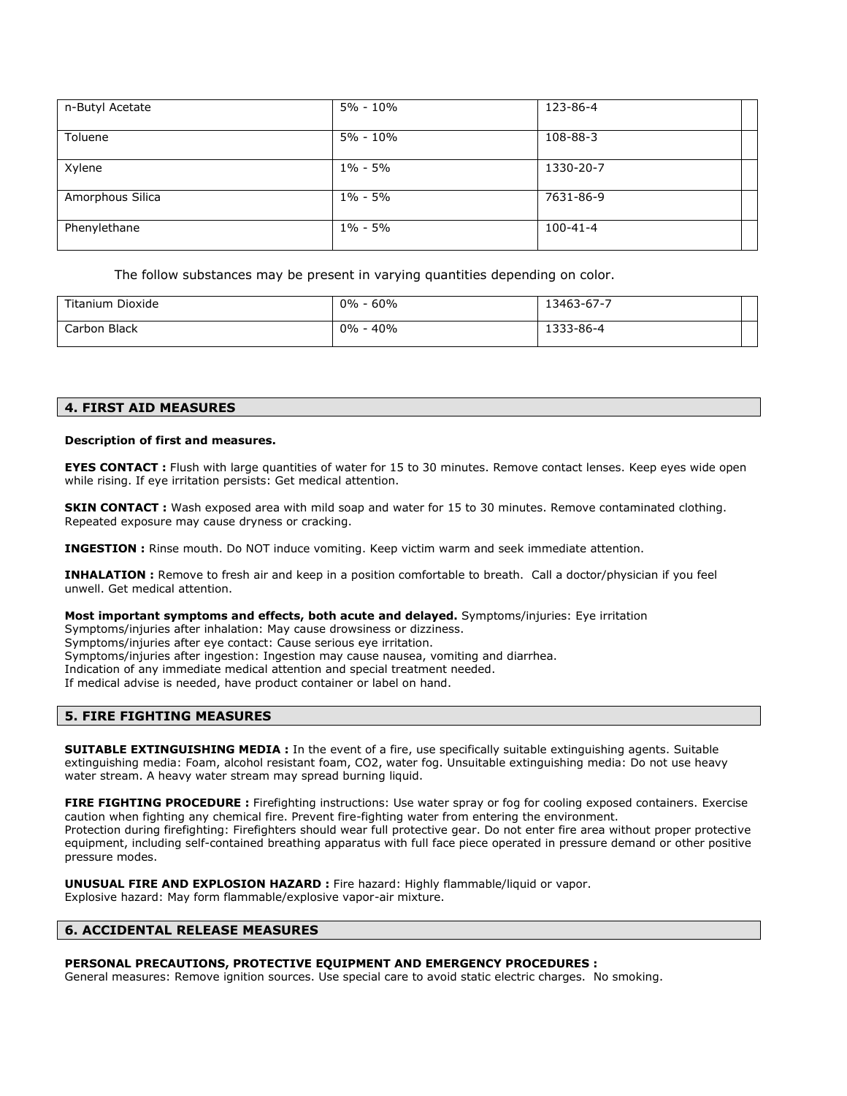| n-Butyl Acetate  | $5\% - 10\%$ | 123-86-4       |  |
|------------------|--------------|----------------|--|
| Toluene          | 5% - 10%     | 108-88-3       |  |
| Xylene           | $1\% - 5\%$  | 1330-20-7      |  |
| Amorphous Silica | $1\% - 5\%$  | 7631-86-9      |  |
| Phenylethane     | $1\% - 5\%$  | $100 - 41 - 4$ |  |

The follow substances may be present in varying quantities depending on color.

| Titanium Dioxide | - 60%<br>$0\%$ | 13463-67-7 |  |
|------------------|----------------|------------|--|
| Carbon Black     | $0\%$<br>- 40% | 1333-86-4  |  |

## **4. FIRST AID MEASURES**

#### **Description of first and measures.**

**EYES CONTACT :** Flush with large quantities of water for 15 to 30 minutes. Remove contact lenses. Keep eyes wide open while rising. If eye irritation persists: Get medical attention.

**SKIN CONTACT :** Wash exposed area with mild soap and water for 15 to 30 minutes. Remove contaminated clothing. Repeated exposure may cause dryness or cracking.

**INGESTION :** Rinse mouth. Do NOT induce vomiting. Keep victim warm and seek immediate attention.

**INHALATION :** Remove to fresh air and keep in a position comfortable to breath. Call a doctor/physician if you feel unwell. Get medical attention.

**Most important symptoms and effects, both acute and delayed.** Symptoms/injuries: Eye irritation Symptoms/injuries after inhalation: May cause drowsiness or dizziness. Symptoms/injuries after eye contact: Cause serious eye irritation. Symptoms/injuries after ingestion: Ingestion may cause nausea, vomiting and diarrhea. Indication of any immediate medical attention and special treatment needed. If medical advise is needed, have product container or label on hand.

## **5. FIRE FIGHTING MEASURES**

**SUITABLE EXTINGUISHING MEDIA :** In the event of a fire, use specifically suitable extinguishing agents. Suitable extinguishing media: Foam, alcohol resistant foam, CO2, water fog. Unsuitable extinguishing media: Do not use heavy water stream. A heavy water stream may spread burning liquid.

**FIRE FIGHTING PROCEDURE :** Firefighting instructions: Use water spray or fog for cooling exposed containers. Exercise caution when fighting any chemical fire. Prevent fire-fighting water from entering the environment. Protection during firefighting: Firefighters should wear full protective gear. Do not enter fire area without proper protective equipment, including self-contained breathing apparatus with full face piece operated in pressure demand or other positive pressure modes.

**UNUSUAL FIRE AND EXPLOSION HAZARD :** Fire hazard: Highly flammable/liquid or vapor. Explosive hazard: May form flammable/explosive vapor-air mixture.

# **6. ACCIDENTAL RELEASE MEASURES**

#### **PERSONAL PRECAUTIONS, PROTECTIVE EQUIPMENT AND EMERGENCY PROCEDURES :**

General measures: Remove ignition sources. Use special care to avoid static electric charges. No smoking.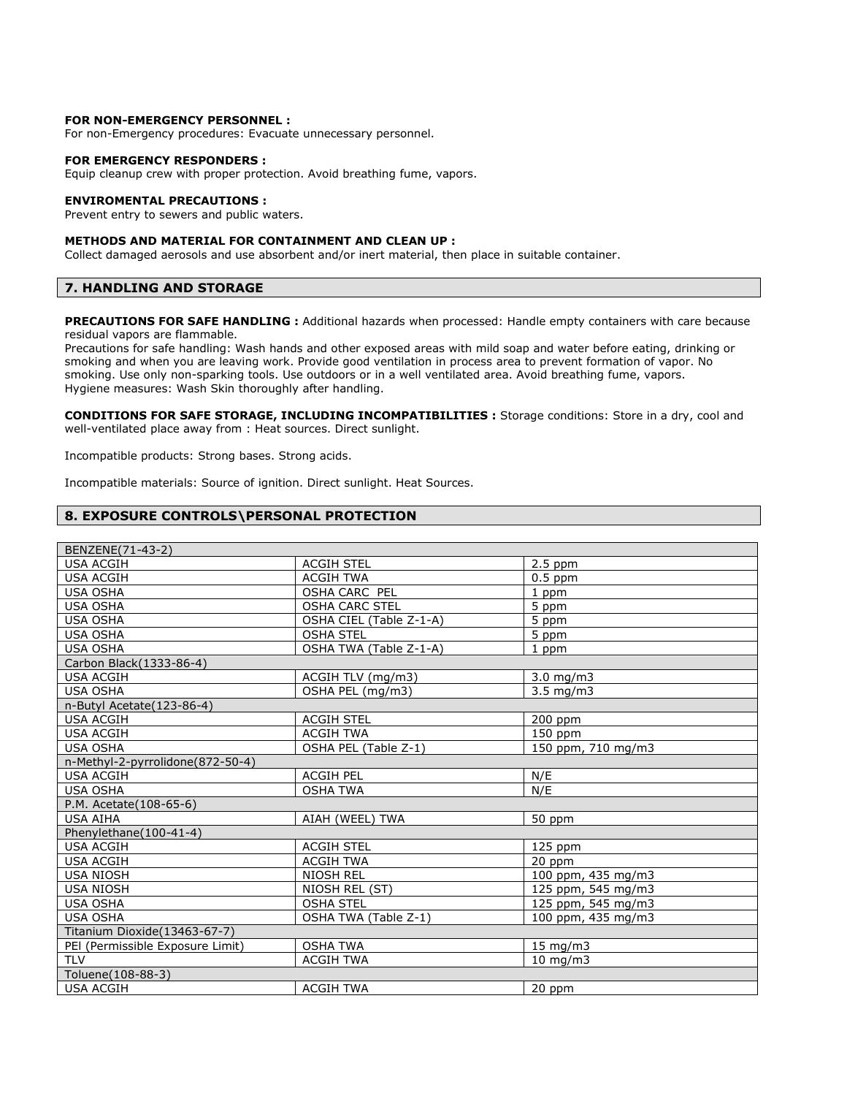#### **FOR NON-EMERGENCY PERSONNEL :**

For non-Emergency procedures: Evacuate unnecessary personnel.

#### **FOR EMERGENCY RESPONDERS :**

Equip cleanup crew with proper protection. Avoid breathing fume, vapors.

#### **ENVIROMENTAL PRECAUTIONS :**

Prevent entry to sewers and public waters.

#### **METHODS AND MATERIAL FOR CONTAINMENT AND CLEAN UP :**

Collect damaged aerosols and use absorbent and/or inert material, then place in suitable container.

## **7. HANDLING AND STORAGE**

**PRECAUTIONS FOR SAFE HANDLING :** Additional hazards when processed: Handle empty containers with care because residual vapors are flammable.

Precautions for safe handling: Wash hands and other exposed areas with mild soap and water before eating, drinking or smoking and when you are leaving work. Provide good ventilation in process area to prevent formation of vapor. No smoking. Use only non-sparking tools. Use outdoors or in a well ventilated area. Avoid breathing fume, vapors. Hygiene measures: Wash Skin thoroughly after handling.

**CONDITIONS FOR SAFE STORAGE, INCLUDING INCOMPATIBILITIES :** Storage conditions: Store in a dry, cool and well-ventilated place away from : Heat sources. Direct sunlight.

Incompatible products: Strong bases. Strong acids.

Incompatible materials: Source of ignition. Direct sunlight. Heat Sources.

## **8. EXPOSURE CONTROLS\PERSONAL PROTECTION**

| BENZENE(71-43-2)                 |                         |                    |
|----------------------------------|-------------------------|--------------------|
| <b>USA ACGIH</b>                 | <b>ACGIH STEL</b>       | $2.5$ ppm          |
| <b>USA ACGIH</b>                 | <b>ACGIH TWA</b>        | $0.5$ ppm          |
| <b>USA OSHA</b>                  | OSHA CARC PEL           | 1 ppm              |
| <b>USA OSHA</b>                  | <b>OSHA CARC STEL</b>   | 5 ppm              |
| <b>USA OSHA</b>                  | OSHA CIEL (Table Z-1-A) | 5 ppm              |
| <b>USA OSHA</b>                  | <b>OSHA STEL</b>        | 5 ppm              |
| <b>USA OSHA</b>                  | OSHA TWA (Table Z-1-A)  | 1 ppm              |
| Carbon Black(1333-86-4)          |                         |                    |
| <b>USA ACGIH</b>                 | ACGIH TLV (mg/m3)       | $3.0$ mg/m $3$     |
| <b>USA OSHA</b>                  | OSHA PEL (mg/m3)        | 3.5 mg/m3          |
| n-Butyl Acetate (123-86-4)       |                         |                    |
| <b>USA ACGIH</b>                 | <b>ACGIH STEL</b>       | $200$ ppm          |
| <b>USA ACGIH</b>                 | <b>ACGIH TWA</b>        | 150 ppm            |
| <b>USA OSHA</b>                  | OSHA PEL (Table Z-1)    | 150 ppm, 710 mg/m3 |
| n-Methyl-2-pyrrolidone(872-50-4) |                         |                    |
| <b>USA ACGIH</b>                 | <b>ACGIH PEL</b>        | N/E                |
| <b>USA OSHA</b>                  | <b>OSHA TWA</b>         | N/E                |
| P.M. Acetate(108-65-6)           |                         |                    |
| <b>USA AIHA</b>                  | AIAH (WEEL) TWA         | 50 ppm             |
| Phenylethane(100-41-4)           |                         |                    |
| <b>USA ACGIH</b>                 | <b>ACGIH STEL</b>       | $125$ ppm          |
| <b>USA ACGIH</b>                 | <b>ACGIH TWA</b>        | 20 ppm             |
| <b>USA NIOSH</b>                 | <b>NIOSH REL</b>        | 100 ppm, 435 mg/m3 |
| <b>USA NIOSH</b>                 | NIOSH REL (ST)          | 125 ppm, 545 mg/m3 |
| <b>USA OSHA</b>                  | <b>OSHA STEL</b>        | 125 ppm, 545 mg/m3 |
| USA OSHA                         | OSHA TWA (Table Z-1)    | 100 ppm, 435 mg/m3 |
| Titanium Dioxide(13463-67-7)     |                         |                    |
| PEI (Permissible Exposure Limit) | <b>OSHA TWA</b>         | 15 mg/m3           |
| TI V                             | <b>ACGIH TWA</b>        | 10 mg/m3           |
| Toluene(108-88-3)                |                         |                    |
| <b>USA ACGIH</b>                 | <b>ACGIH TWA</b>        | 20 ppm             |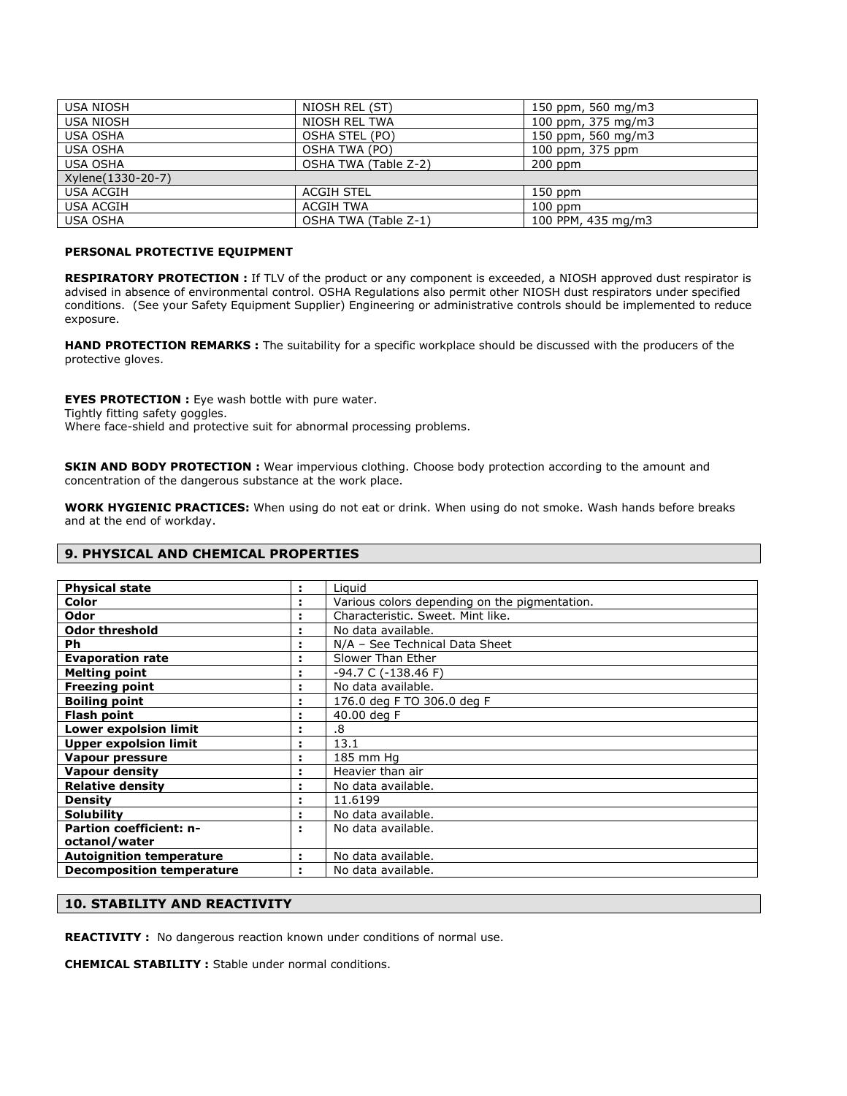| USA NIOSH         | NIOSH REL (ST)       | 150 ppm, 560 mg/m3 |
|-------------------|----------------------|--------------------|
| USA NIOSH         | NIOSH REL TWA        | 100 ppm, 375 mg/m3 |
| <b>USA OSHA</b>   | OSHA STEL (PO)       | 150 ppm, 560 mg/m3 |
| <b>USA OSHA</b>   | OSHA TWA (PO)        | 100 ppm, 375 ppm   |
| <b>USA OSHA</b>   | OSHA TWA (Table Z-2) | $200$ ppm          |
| Xylene(1330-20-7) |                      |                    |
| USA ACGIH         | <b>ACGIH STEL</b>    | $150$ ppm          |
| USA ACGIH         | <b>ACGIH TWA</b>     | $100$ ppm          |
| USA OSHA          | OSHA TWA (Table Z-1) | 100 PPM, 435 mg/m3 |

## **PERSONAL PROTECTIVE EQUIPMENT**

**RESPIRATORY PROTECTION :** If TLV of the product or any component is exceeded, a NIOSH approved dust respirator is advised in absence of environmental control. OSHA Regulations also permit other NIOSH dust respirators under specified conditions. (See your Safety Equipment Supplier) Engineering or administrative controls should be implemented to reduce exposure.

**HAND PROTECTION REMARKS :** The suitability for a specific workplace should be discussed with the producers of the protective gloves.

**EYES PROTECTION :** Eye wash bottle with pure water. Tightly fitting safety goggles. Where face-shield and protective suit for abnormal processing problems.

**SKIN AND BODY PROTECTION :** Wear impervious clothing. Choose body protection according to the amount and concentration of the dangerous substance at the work place.

**WORK HYGIENIC PRACTICES:** When using do not eat or drink. When using do not smoke. Wash hands before breaks and at the end of workday.

## **9. PHYSICAL AND CHEMICAL PROPERTIES**

| <b>Physical state</b>            | ÷.        | Liguid                                        |
|----------------------------------|-----------|-----------------------------------------------|
| Color                            | ÷         | Various colors depending on the pigmentation. |
| Odor                             |           | Characteristic. Sweet. Mint like.             |
| <b>Odor threshold</b>            |           | No data available.                            |
| Ph                               |           | N/A - See Technical Data Sheet                |
| <b>Evaporation rate</b>          |           | Slower Than Ether                             |
| <b>Melting point</b>             |           | $-94.7 C (-138.46 F)$                         |
| <b>Freezing point</b>            | ٠         | No data available.                            |
| <b>Boiling point</b>             | и         | 176.0 deg F TO 306.0 deg F                    |
| <b>Flash point</b>               | ÷         | 40.00 deg F                                   |
| <b>Lower expolsion limit</b>     |           | .8                                            |
| <b>Upper expolsion limit</b>     |           | 13.1                                          |
| Vapour pressure                  |           | 185 mm Hq                                     |
| <b>Vapour density</b>            |           | Heavier than air                              |
| <b>Relative density</b>          | ٠         | No data available.                            |
| <b>Density</b>                   | $\bullet$ | 11.6199                                       |
| <b>Solubility</b>                |           | No data available.                            |
| <b>Partion coefficient: n-</b>   | ÷         | No data available.                            |
| octanol/water                    |           |                                               |
| <b>Autoignition temperature</b>  |           | No data available.                            |
| <b>Decomposition temperature</b> |           | No data available.                            |

## **10. STABILITY AND REACTIVITY**

REACTIVITY : No dangerous reaction known under conditions of normal use.

**CHEMICAL STABILITY :** Stable under normal conditions.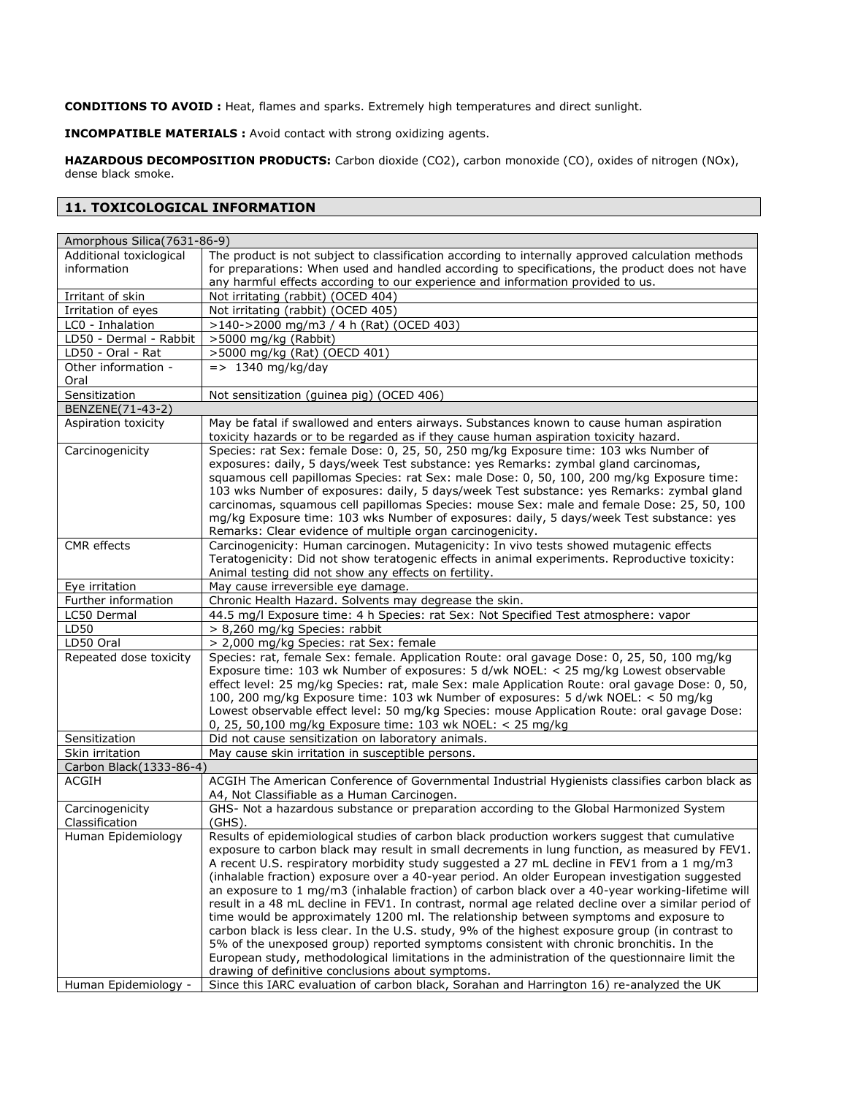**CONDITIONS TO AVOID :** Heat, flames and sparks. Extremely high temperatures and direct sunlight.

**INCOMPATIBLE MATERIALS :** Avoid contact with strong oxidizing agents.

**HAZARDOUS DECOMPOSITION PRODUCTS:** Carbon dioxide (CO2), carbon monoxide (CO), oxides of nitrogen (NOx), dense black smoke.

# **11. TOXICOLOGICAL INFORMATION**

| Amorphous Silica (7631-86-9)            |                                                                                                                                                                                              |
|-----------------------------------------|----------------------------------------------------------------------------------------------------------------------------------------------------------------------------------------------|
| Additional toxiclogical                 | The product is not subject to classification according to internally approved calculation methods                                                                                            |
| information                             | for preparations: When used and handled according to specifications, the product does not have                                                                                               |
|                                         | any harmful effects according to our experience and information provided to us.                                                                                                              |
| Irritant of skin                        | Not irritating (rabbit) (OCED 404)                                                                                                                                                           |
| Irritation of eyes                      | Not irritating (rabbit) (OCED 405)                                                                                                                                                           |
| LC0 - Inhalation                        | >140->2000 mg/m3 / 4 h (Rat) (OCED 403)                                                                                                                                                      |
| LD50 - Dermal - Rabbit                  | >5000 mg/kg (Rabbit)                                                                                                                                                                         |
| LD50 - Oral - Rat                       | >5000 mg/kg (Rat) (OECD 401)                                                                                                                                                                 |
| Other information -                     | $=$ > 1340 mg/kg/day                                                                                                                                                                         |
| Oral                                    |                                                                                                                                                                                              |
| Sensitization                           | Not sensitization (guinea pig) (OCED 406)                                                                                                                                                    |
| BENZENE(71-43-2)                        |                                                                                                                                                                                              |
| Aspiration toxicity                     | May be fatal if swallowed and enters airways. Substances known to cause human aspiration                                                                                                     |
|                                         | toxicity hazards or to be regarded as if they cause human aspiration toxicity hazard.                                                                                                        |
| Carcinogenicity                         | Species: rat Sex: female Dose: 0, 25, 50, 250 mg/kg Exposure time: 103 wks Number of                                                                                                         |
|                                         | exposures: daily, 5 days/week Test substance: yes Remarks: zymbal gland carcinomas,                                                                                                          |
|                                         | squamous cell papillomas Species: rat Sex: male Dose: 0, 50, 100, 200 mg/kg Exposure time:                                                                                                   |
|                                         | 103 wks Number of exposures: daily, 5 days/week Test substance: yes Remarks: zymbal gland                                                                                                    |
|                                         | carcinomas, squamous cell papillomas Species: mouse Sex: male and female Dose: 25, 50, 100                                                                                                   |
|                                         | mg/kg Exposure time: 103 wks Number of exposures: daily, 5 days/week Test substance: yes                                                                                                     |
|                                         | Remarks: Clear evidence of multiple organ carcinogenicity.                                                                                                                                   |
| <b>CMR</b> effects                      | Carcinogenicity: Human carcinogen. Mutagenicity: In vivo tests showed mutagenic effects                                                                                                      |
|                                         | Teratogenicity: Did not show teratogenic effects in animal experiments. Reproductive toxicity:                                                                                               |
|                                         | Animal testing did not show any effects on fertility.                                                                                                                                        |
| Eye irritation                          | May cause irreversible eye damage.                                                                                                                                                           |
| Further information                     | Chronic Health Hazard. Solvents may degrease the skin.                                                                                                                                       |
| LC50 Dermal                             | 44.5 mg/l Exposure time: 4 h Species: rat Sex: Not Specified Test atmosphere: vapor                                                                                                          |
| LD50                                    | > 8,260 mg/kg Species: rabbit                                                                                                                                                                |
| LD50 Oral                               | > 2,000 mg/kg Species: rat Sex: female                                                                                                                                                       |
| Repeated dose toxicity                  | Species: rat, female Sex: female. Application Route: oral gavage Dose: 0, 25, 50, 100 mg/kg                                                                                                  |
|                                         | Exposure time: 103 wk Number of exposures: 5 d/wk NOEL: < 25 mg/kg Lowest observable                                                                                                         |
|                                         | effect level: 25 mg/kg Species: rat, male Sex: male Application Route: oral gavage Dose: 0, 50,                                                                                              |
|                                         | 100, 200 mg/kg Exposure time: 103 wk Number of exposures: 5 d/wk NOEL: < 50 mg/kg                                                                                                            |
|                                         | Lowest observable effect level: 50 mg/kg Species: mouse Application Route: oral gavage Dose:                                                                                                 |
|                                         | 0, 25, 50,100 mg/kg Exposure time: 103 wk NOEL: < 25 mg/kg                                                                                                                                   |
| Sensitization                           | Did not cause sensitization on laboratory animals.                                                                                                                                           |
| Skin irritation                         | May cause skin irritation in susceptible persons.                                                                                                                                            |
| Carbon Black(1333-86-4)<br><b>ACGIH</b> |                                                                                                                                                                                              |
|                                         | ACGIH The American Conference of Governmental Industrial Hygienists classifies carbon black as                                                                                               |
|                                         | A4, Not Classifiable as a Human Carcinogen.<br>GHS- Not a hazardous substance or preparation according to the Global Harmonized System                                                       |
| Carcinogenicity<br>Classification       | $(GHS)$ .                                                                                                                                                                                    |
| Human Epidemiology                      | Results of epidemiological studies of carbon black production workers suggest that cumulative                                                                                                |
|                                         | exposure to carbon black may result in small decrements in lung function, as measured by FEV1.                                                                                               |
|                                         |                                                                                                                                                                                              |
|                                         | A recent U.S. respiratory morbidity study suggested a 27 mL decline in FEV1 from a 1 mg/m3<br>(inhalable fraction) exposure over a 40-year period. An older European investigation suggested |
|                                         | an exposure to 1 mg/m3 (inhalable fraction) of carbon black over a 40-year working-lifetime will                                                                                             |
|                                         | result in a 48 mL decline in FEV1. In contrast, normal age related decline over a similar period of                                                                                          |
|                                         | time would be approximately 1200 ml. The relationship between symptoms and exposure to                                                                                                       |
|                                         | carbon black is less clear. In the U.S. study, 9% of the highest exposure group (in contrast to                                                                                              |
|                                         | 5% of the unexposed group) reported symptoms consistent with chronic bronchitis. In the                                                                                                      |
|                                         | European study, methodological limitations in the administration of the questionnaire limit the                                                                                              |
|                                         | drawing of definitive conclusions about symptoms.                                                                                                                                            |
| Human Epidemiology -                    | Since this IARC evaluation of carbon black, Sorahan and Harrington 16) re-analyzed the UK                                                                                                    |
|                                         |                                                                                                                                                                                              |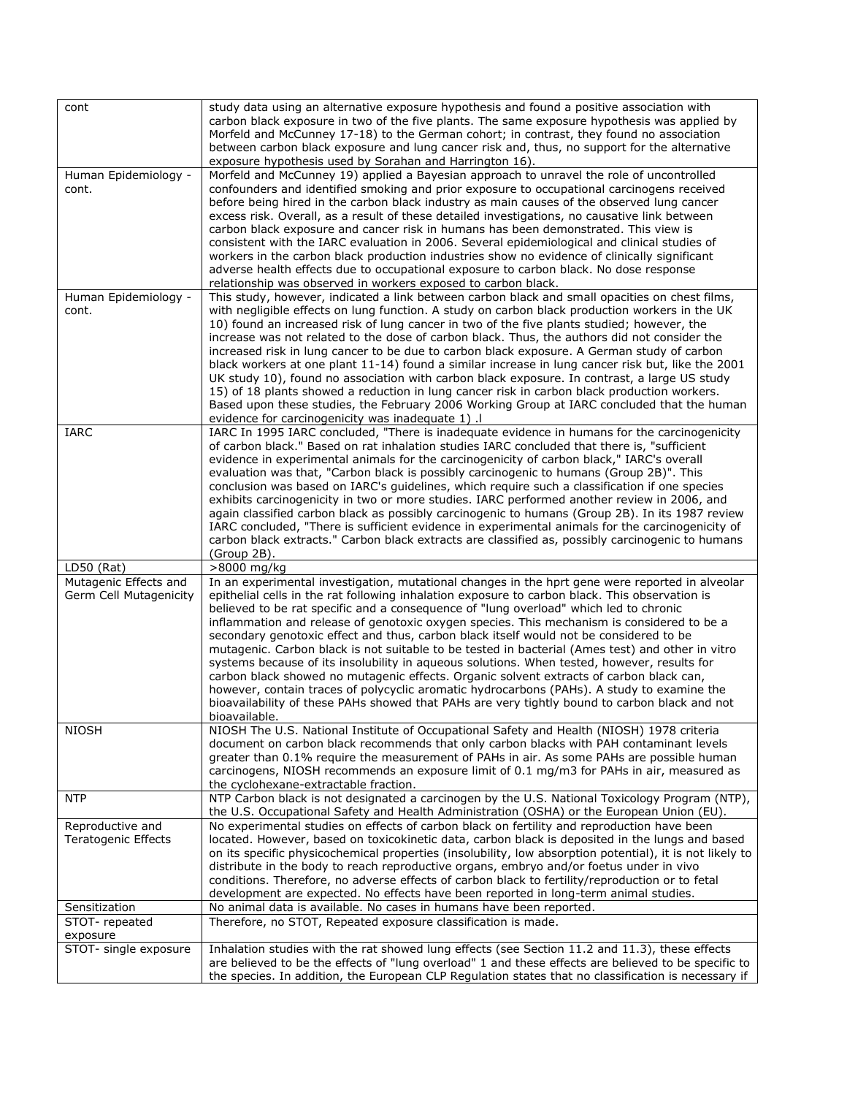| cont                   |                                                                                                                                                                                                             |
|------------------------|-------------------------------------------------------------------------------------------------------------------------------------------------------------------------------------------------------------|
|                        | study data using an alternative exposure hypothesis and found a positive association with<br>carbon black exposure in two of the five plants. The same exposure hypothesis was applied by                   |
|                        | Morfeld and McCunney 17-18) to the German cohort; in contrast, they found no association                                                                                                                    |
|                        | between carbon black exposure and lung cancer risk and, thus, no support for the alternative                                                                                                                |
|                        | exposure hypothesis used by Sorahan and Harrington 16).                                                                                                                                                     |
| Human Epidemiology -   | Morfeld and McCunney 19) applied a Bayesian approach to unravel the role of uncontrolled                                                                                                                    |
| cont.                  | confounders and identified smoking and prior exposure to occupational carcinogens received                                                                                                                  |
|                        | before being hired in the carbon black industry as main causes of the observed lung cancer                                                                                                                  |
|                        | excess risk. Overall, as a result of these detailed investigations, no causative link between                                                                                                               |
|                        | carbon black exposure and cancer risk in humans has been demonstrated. This view is                                                                                                                         |
|                        | consistent with the IARC evaluation in 2006. Several epidemiological and clinical studies of                                                                                                                |
|                        | workers in the carbon black production industries show no evidence of clinically significant                                                                                                                |
|                        | adverse health effects due to occupational exposure to carbon black. No dose response                                                                                                                       |
|                        | relationship was observed in workers exposed to carbon black.                                                                                                                                               |
| Human Epidemiology -   | This study, however, indicated a link between carbon black and small opacities on chest films,                                                                                                              |
| cont.                  | with negligible effects on lung function. A study on carbon black production workers in the UK                                                                                                              |
|                        | 10) found an increased risk of lung cancer in two of the five plants studied; however, the                                                                                                                  |
|                        | increase was not related to the dose of carbon black. Thus, the authors did not consider the                                                                                                                |
|                        | increased risk in lung cancer to be due to carbon black exposure. A German study of carbon                                                                                                                  |
|                        | black workers at one plant 11-14) found a similar increase in lung cancer risk but, like the 2001                                                                                                           |
|                        | UK study 10), found no association with carbon black exposure. In contrast, a large US study                                                                                                                |
|                        | 15) of 18 plants showed a reduction in lung cancer risk in carbon black production workers.                                                                                                                 |
|                        | Based upon these studies, the February 2006 Working Group at IARC concluded that the human                                                                                                                  |
|                        | evidence for carcinogenicity was inadequate 1) .                                                                                                                                                            |
| <b>IARC</b>            | IARC In 1995 IARC concluded, "There is inadequate evidence in humans for the carcinogenicity                                                                                                                |
|                        | of carbon black." Based on rat inhalation studies IARC concluded that there is, "sufficient                                                                                                                 |
|                        | evidence in experimental animals for the carcinogenicity of carbon black," IARC's overall                                                                                                                   |
|                        | evaluation was that, "Carbon black is possibly carcinogenic to humans (Group 2B)". This                                                                                                                     |
|                        | conclusion was based on IARC's guidelines, which require such a classification if one species                                                                                                               |
|                        | exhibits carcinogenicity in two or more studies. IARC performed another review in 2006, and                                                                                                                 |
|                        | again classified carbon black as possibly carcinogenic to humans (Group 2B). In its 1987 review                                                                                                             |
|                        | IARC concluded, "There is sufficient evidence in experimental animals for the carcinogenicity of                                                                                                            |
|                        | carbon black extracts." Carbon black extracts are classified as, possibly carcinogenic to humans                                                                                                            |
|                        | (Group 2B).                                                                                                                                                                                                 |
| $LD50$ (Rat)           | >8000 mg/kg                                                                                                                                                                                                 |
| Mutagenic Effects and  | In an experimental investigation, mutational changes in the hprt gene were reported in alveolar                                                                                                             |
| Germ Cell Mutagenicity |                                                                                                                                                                                                             |
|                        |                                                                                                                                                                                                             |
|                        | epithelial cells in the rat following inhalation exposure to carbon black. This observation is                                                                                                              |
|                        | believed to be rat specific and a consequence of "lung overload" which led to chronic                                                                                                                       |
|                        | inflammation and release of genotoxic oxygen species. This mechanism is considered to be a                                                                                                                  |
|                        | secondary genotoxic effect and thus, carbon black itself would not be considered to be                                                                                                                      |
|                        | mutagenic. Carbon black is not suitable to be tested in bacterial (Ames test) and other in vitro                                                                                                            |
|                        | systems because of its insolubility in aqueous solutions. When tested, however, results for                                                                                                                 |
|                        | carbon black showed no mutagenic effects. Organic solvent extracts of carbon black can,                                                                                                                     |
|                        | however, contain traces of polycyclic aromatic hydrocarbons (PAHs). A study to examine the                                                                                                                  |
|                        | bioavailability of these PAHs showed that PAHs are very tightly bound to carbon black and not                                                                                                               |
|                        | bioavailable                                                                                                                                                                                                |
| <b>NIOSH</b>           | NIOSH The U.S. National Institute of Occupational Safety and Health (NIOSH) 1978 criteria                                                                                                                   |
|                        | document on carbon black recommends that only carbon blacks with PAH contaminant levels                                                                                                                     |
|                        | greater than 0.1% require the measurement of PAHs in air. As some PAHs are possible human                                                                                                                   |
|                        | carcinogens, NIOSH recommends an exposure limit of 0.1 mg/m3 for PAHs in air, measured as                                                                                                                   |
|                        | the cyclohexane-extractable fraction.                                                                                                                                                                       |
| <b>NTP</b>             | NTP Carbon black is not designated a carcinogen by the U.S. National Toxicology Program (NTP),                                                                                                              |
|                        | the U.S. Occupational Safety and Health Administration (OSHA) or the European Union (EU).                                                                                                                   |
| Reproductive and       | No experimental studies on effects of carbon black on fertility and reproduction have been                                                                                                                  |
| Teratogenic Effects    | located. However, based on toxicokinetic data, carbon black is deposited in the lungs and based                                                                                                             |
|                        | on its specific physicochemical properties (insolubility, low absorption potential), it is not likely to                                                                                                    |
|                        | distribute in the body to reach reproductive organs, embryo and/or foetus under in vivo                                                                                                                     |
|                        | conditions. Therefore, no adverse effects of carbon black to fertility/reproduction or to fetal                                                                                                             |
|                        | development are expected. No effects have been reported in long-term animal studies.                                                                                                                        |
| Sensitization          | No animal data is available. No cases in humans have been reported.                                                                                                                                         |
| STOT-repeated          | Therefore, no STOT, Repeated exposure classification is made.                                                                                                                                               |
| exposure               |                                                                                                                                                                                                             |
| STOT- single exposure  | Inhalation studies with the rat showed lung effects (see Section 11.2 and 11.3), these effects                                                                                                              |
|                        | are believed to be the effects of "lung overload" 1 and these effects are believed to be specific to<br>the species. In addition, the European CLP Regulation states that no classification is necessary if |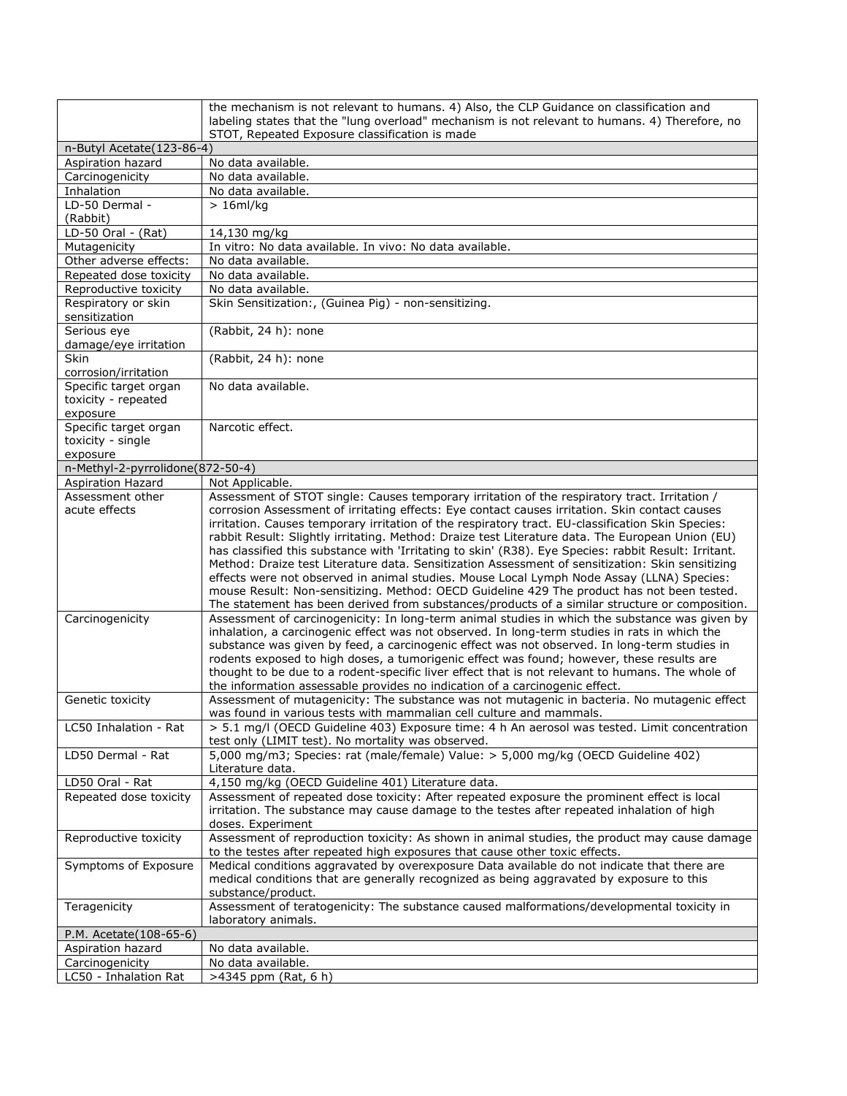|                                  | the mechanism is not relevant to humans. 4) Also, the CLP Guidance on classification and             |
|----------------------------------|------------------------------------------------------------------------------------------------------|
|                                  | labeling states that the "lung overload" mechanism is not relevant to humans. 4) Therefore, no       |
|                                  | STOT, Repeated Exposure classification is made                                                       |
| n-Butyl Acetate(123-86-4)        |                                                                                                      |
| Aspiration hazard                | No data available.                                                                                   |
| Carcinogenicity                  | No data available.                                                                                   |
| Inhalation                       | No data available.                                                                                   |
| LD-50 Dermal -                   | $> 16$ ml/kg                                                                                         |
| (Rabbit)                         |                                                                                                      |
| LD-50 Oral - (Rat)               | 14,130 mg/kg                                                                                         |
| Mutagenicity                     | In vitro: No data available. In vivo: No data available.                                             |
| Other adverse effects:           | No data available.                                                                                   |
| Repeated dose toxicity           | No data available.                                                                                   |
| Reproductive toxicity            | No data available.                                                                                   |
| Respiratory or skin              | Skin Sensitization:, (Guinea Pig) - non-sensitizing.                                                 |
| sensitization                    |                                                                                                      |
| Serious eye                      | (Rabbit, 24 h): none                                                                                 |
| damage/eye irritation            |                                                                                                      |
| Skin                             | (Rabbit, 24 h): none                                                                                 |
| corrosion/irritation             |                                                                                                      |
| Specific target organ            | No data available.                                                                                   |
| toxicity - repeated              |                                                                                                      |
| exposure                         |                                                                                                      |
| Specific target organ            | Narcotic effect.                                                                                     |
| toxicity - single                |                                                                                                      |
| exposure                         |                                                                                                      |
| n-Methyl-2-pyrrolidone(872-50-4) |                                                                                                      |
| Aspiration Hazard                | Not Applicable.                                                                                      |
| Assessment other                 | Assessment of STOT single: Causes temporary irritation of the respiratory tract. Irritation /        |
| acute effects                    | corrosion Assessment of irritating effects: Eye contact causes irritation. Skin contact causes       |
|                                  | irritation. Causes temporary irritation of the respiratory tract. EU-classification Skin Species:    |
|                                  | rabbit Result: Slightly irritating. Method: Draize test Literature data. The European Union (EU)     |
|                                  | has classified this substance with 'Irritating to skin' (R38). Eye Species: rabbit Result: Irritant. |
|                                  | Method: Draize test Literature data. Sensitization Assessment of sensitization: Skin sensitizing     |
|                                  | effects were not observed in animal studies. Mouse Local Lymph Node Assay (LLNA) Species:            |
|                                  | mouse Result: Non-sensitizing. Method: OECD Guideline 429 The product has not been tested.           |
|                                  | The statement has been derived from substances/products of a similar structure or composition.       |
| Carcinogenicity                  | Assessment of carcinogenicity: In long-term animal studies in which the substance was given by       |
|                                  | inhalation, a carcinogenic effect was not observed. In long-term studies in rats in which the        |
|                                  | substance was given by feed, a carcinogenic effect was not observed. In long-term studies in         |
|                                  | rodents exposed to high doses, a tumorigenic effect was found; however, these results are            |
|                                  | thought to be due to a rodent-specific liver effect that is not relevant to humans. The whole of     |
|                                  | the information assessable provides no indication of a carcinogenic effect.                          |
| Genetic toxicity                 | Assessment of mutagenicity: The substance was not mutagenic in bacteria. No mutagenic effect         |
|                                  | was found in various tests with mammalian cell culture and mammals.                                  |
| LC50 Inhalation - Rat            | > 5.1 mg/l (OECD Guideline 403) Exposure time: 4 h An aerosol was tested. Limit concentration        |
|                                  | test only (LIMIT test). No mortality was observed.                                                   |
| LD50 Dermal - Rat                | 5,000 mg/m3; Species: rat (male/female) Value: > 5,000 mg/kg (OECD Guideline 402)                    |
|                                  | Literature data.                                                                                     |
| LD50 Oral - Rat                  | 4,150 mg/kg (OECD Guideline 401) Literature data.                                                    |
| Repeated dose toxicity           | Assessment of repeated dose toxicity: After repeated exposure the prominent effect is local          |
|                                  | irritation. The substance may cause damage to the testes after repeated inhalation of high           |
|                                  | doses. Experiment                                                                                    |
| Reproductive toxicity            | Assessment of reproduction toxicity: As shown in animal studies, the product may cause damage        |
|                                  | to the testes after repeated high exposures that cause other toxic effects.                          |
| Symptoms of Exposure             | Medical conditions aggravated by overexposure Data available do not indicate that there are          |
|                                  | medical conditions that are generally recognized as being aggravated by exposure to this             |
|                                  | substance/product.                                                                                   |
| Teragenicity                     | Assessment of teratogenicity: The substance caused malformations/developmental toxicity in           |
|                                  | laboratory animals.                                                                                  |
| P.M. Acetate(108-65-6)           |                                                                                                      |
| Aspiration hazard                | No data available.                                                                                   |
| Carcinogenicity                  | No data available.                                                                                   |
| LC50 - Inhalation Rat            | >4345 ppm (Rat, 6 h)                                                                                 |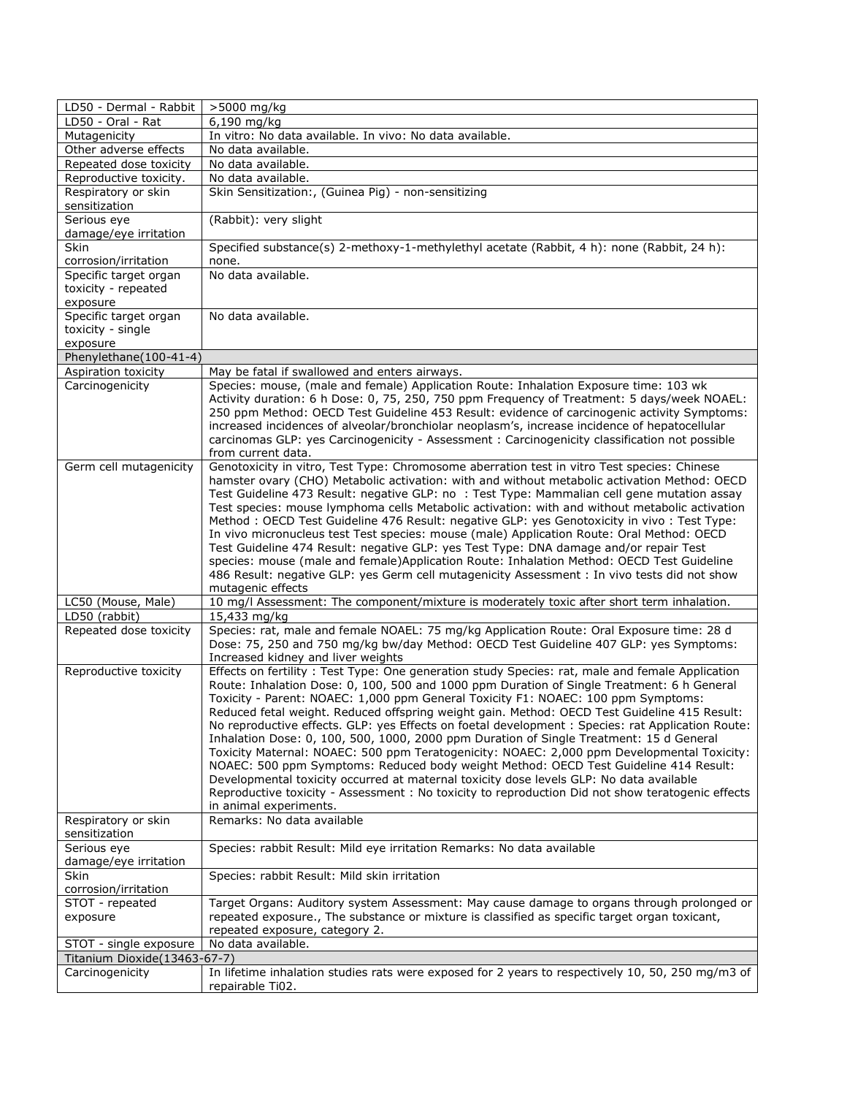| LD50 - Dermal - Rabbit                                   | >5000 mg/kg                                                                                                                                                                                                                                                                                                                                                                                                                                                                                                                                                                                                                                                                                                                                                                                                                                                                                                                                                                                        |
|----------------------------------------------------------|----------------------------------------------------------------------------------------------------------------------------------------------------------------------------------------------------------------------------------------------------------------------------------------------------------------------------------------------------------------------------------------------------------------------------------------------------------------------------------------------------------------------------------------------------------------------------------------------------------------------------------------------------------------------------------------------------------------------------------------------------------------------------------------------------------------------------------------------------------------------------------------------------------------------------------------------------------------------------------------------------|
| $LD50 - Oral - Rat$                                      | 6,190 mg/kg                                                                                                                                                                                                                                                                                                                                                                                                                                                                                                                                                                                                                                                                                                                                                                                                                                                                                                                                                                                        |
| Mutagenicity                                             | In vitro: No data available. In vivo: No data available.                                                                                                                                                                                                                                                                                                                                                                                                                                                                                                                                                                                                                                                                                                                                                                                                                                                                                                                                           |
| Other adverse effects                                    | No data available.                                                                                                                                                                                                                                                                                                                                                                                                                                                                                                                                                                                                                                                                                                                                                                                                                                                                                                                                                                                 |
| Repeated dose toxicity                                   | No data available.                                                                                                                                                                                                                                                                                                                                                                                                                                                                                                                                                                                                                                                                                                                                                                                                                                                                                                                                                                                 |
| Reproductive toxicity.                                   | No data available.                                                                                                                                                                                                                                                                                                                                                                                                                                                                                                                                                                                                                                                                                                                                                                                                                                                                                                                                                                                 |
| Respiratory or skin                                      | Skin Sensitization:, (Guinea Pig) - non-sensitizing                                                                                                                                                                                                                                                                                                                                                                                                                                                                                                                                                                                                                                                                                                                                                                                                                                                                                                                                                |
| sensitization<br>Serious eye                             | (Rabbit): very slight                                                                                                                                                                                                                                                                                                                                                                                                                                                                                                                                                                                                                                                                                                                                                                                                                                                                                                                                                                              |
| damage/eye irritation<br>Skin                            | Specified substance(s) 2-methoxy-1-methylethyl acetate (Rabbit, 4 h): none (Rabbit, 24 h):                                                                                                                                                                                                                                                                                                                                                                                                                                                                                                                                                                                                                                                                                                                                                                                                                                                                                                         |
| corrosion/irritation                                     | none.                                                                                                                                                                                                                                                                                                                                                                                                                                                                                                                                                                                                                                                                                                                                                                                                                                                                                                                                                                                              |
| Specific target organ<br>toxicity - repeated<br>exposure | No data available.                                                                                                                                                                                                                                                                                                                                                                                                                                                                                                                                                                                                                                                                                                                                                                                                                                                                                                                                                                                 |
| Specific target organ<br>toxicity - single<br>exposure   | No data available.                                                                                                                                                                                                                                                                                                                                                                                                                                                                                                                                                                                                                                                                                                                                                                                                                                                                                                                                                                                 |
| Phenylethane(100-41-4)                                   |                                                                                                                                                                                                                                                                                                                                                                                                                                                                                                                                                                                                                                                                                                                                                                                                                                                                                                                                                                                                    |
| Aspiration toxicity                                      | May be fatal if swallowed and enters airways.                                                                                                                                                                                                                                                                                                                                                                                                                                                                                                                                                                                                                                                                                                                                                                                                                                                                                                                                                      |
| Carcinogenicity                                          | Species: mouse, (male and female) Application Route: Inhalation Exposure time: 103 wk<br>Activity duration: 6 h Dose: 0, 75, 250, 750 ppm Frequency of Treatment: 5 days/week NOAEL:<br>250 ppm Method: OECD Test Guideline 453 Result: evidence of carcinogenic activity Symptoms:<br>increased incidences of alveolar/bronchiolar neoplasm's, increase incidence of hepatocellular<br>carcinomas GLP: yes Carcinogenicity - Assessment : Carcinogenicity classification not possible<br>from current data.                                                                                                                                                                                                                                                                                                                                                                                                                                                                                       |
| Germ cell mutagenicity                                   | Genotoxicity in vitro, Test Type: Chromosome aberration test in vitro Test species: Chinese<br>hamster ovary (CHO) Metabolic activation: with and without metabolic activation Method: OECD<br>Test Guideline 473 Result: negative GLP: no : Test Type: Mammalian cell gene mutation assay<br>Test species: mouse lymphoma cells Metabolic activation: with and without metabolic activation<br>Method: OECD Test Guideline 476 Result: negative GLP: yes Genotoxicity in vivo: Test Type:<br>In vivo micronucleus test Test species: mouse (male) Application Route: Oral Method: OECD<br>Test Guideline 474 Result: negative GLP: yes Test Type: DNA damage and/or repair Test<br>species: mouse (male and female)Application Route: Inhalation Method: OECD Test Guideline<br>486 Result: negative GLP: yes Germ cell mutagenicity Assessment : In vivo tests did not show<br>mutagenic effects                                                                                                 |
| LC50 (Mouse, Male)                                       | 10 mg/l Assessment: The component/mixture is moderately toxic after short term inhalation.                                                                                                                                                                                                                                                                                                                                                                                                                                                                                                                                                                                                                                                                                                                                                                                                                                                                                                         |
| LD50 (rabbit)                                            | 15,433 mg/kg                                                                                                                                                                                                                                                                                                                                                                                                                                                                                                                                                                                                                                                                                                                                                                                                                                                                                                                                                                                       |
| Repeated dose toxicity                                   | Species: rat, male and female NOAEL: 75 mg/kg Application Route: Oral Exposure time: 28 d<br>Dose: 75, 250 and 750 mg/kg bw/day Method: OECD Test Guideline 407 GLP: yes Symptoms:<br>Increased kidney and liver weights                                                                                                                                                                                                                                                                                                                                                                                                                                                                                                                                                                                                                                                                                                                                                                           |
| Reproductive toxicity                                    | Effects on fertility: Test Type: One generation study Species: rat, male and female Application<br>Route: Inhalation Dose: 0, 100, 500 and 1000 ppm Duration of Single Treatment: 6 h General<br>Toxicity - Parent: NOAEC: 1,000 ppm General Toxicity F1: NOAEC: 100 ppm Symptoms:<br>Reduced fetal weight. Reduced offspring weight gain. Method: OECD Test Guideline 415 Result:<br>No reproductive effects. GLP: yes Effects on foetal development : Species: rat Application Route:<br>Inhalation Dose: 0, 100, 500, 1000, 2000 ppm Duration of Single Treatment: 15 d General<br>Toxicity Maternal: NOAEC: 500 ppm Teratogenicity: NOAEC: 2,000 ppm Developmental Toxicity:<br>NOAEC: 500 ppm Symptoms: Reduced body weight Method: OECD Test Guideline 414 Result:<br>Developmental toxicity occurred at maternal toxicity dose levels GLP: No data available<br>Reproductive toxicity - Assessment : No toxicity to reproduction Did not show teratogenic effects<br>in animal experiments. |
| Respiratory or skin<br>sensitization                     | Remarks: No data available                                                                                                                                                                                                                                                                                                                                                                                                                                                                                                                                                                                                                                                                                                                                                                                                                                                                                                                                                                         |
| Serious eye<br>damage/eye irritation                     | Species: rabbit Result: Mild eye irritation Remarks: No data available                                                                                                                                                                                                                                                                                                                                                                                                                                                                                                                                                                                                                                                                                                                                                                                                                                                                                                                             |
| Skin<br>corrosion/irritation                             | Species: rabbit Result: Mild skin irritation                                                                                                                                                                                                                                                                                                                                                                                                                                                                                                                                                                                                                                                                                                                                                                                                                                                                                                                                                       |
| STOT - repeated                                          | Target Organs: Auditory system Assessment: May cause damage to organs through prolonged or                                                                                                                                                                                                                                                                                                                                                                                                                                                                                                                                                                                                                                                                                                                                                                                                                                                                                                         |
| exposure                                                 | repeated exposure., The substance or mixture is classified as specific target organ toxicant,<br>repeated exposure, category 2.                                                                                                                                                                                                                                                                                                                                                                                                                                                                                                                                                                                                                                                                                                                                                                                                                                                                    |
| STOT - single exposure                                   | No data available.                                                                                                                                                                                                                                                                                                                                                                                                                                                                                                                                                                                                                                                                                                                                                                                                                                                                                                                                                                                 |
| Titanium Dioxide(13463-67-7)                             |                                                                                                                                                                                                                                                                                                                                                                                                                                                                                                                                                                                                                                                                                                                                                                                                                                                                                                                                                                                                    |
| Carcinogenicity                                          | In lifetime inhalation studies rats were exposed for 2 years to respectively 10, 50, 250 mg/m3 of                                                                                                                                                                                                                                                                                                                                                                                                                                                                                                                                                                                                                                                                                                                                                                                                                                                                                                  |
|                                                          | repairable Ti02.                                                                                                                                                                                                                                                                                                                                                                                                                                                                                                                                                                                                                                                                                                                                                                                                                                                                                                                                                                                   |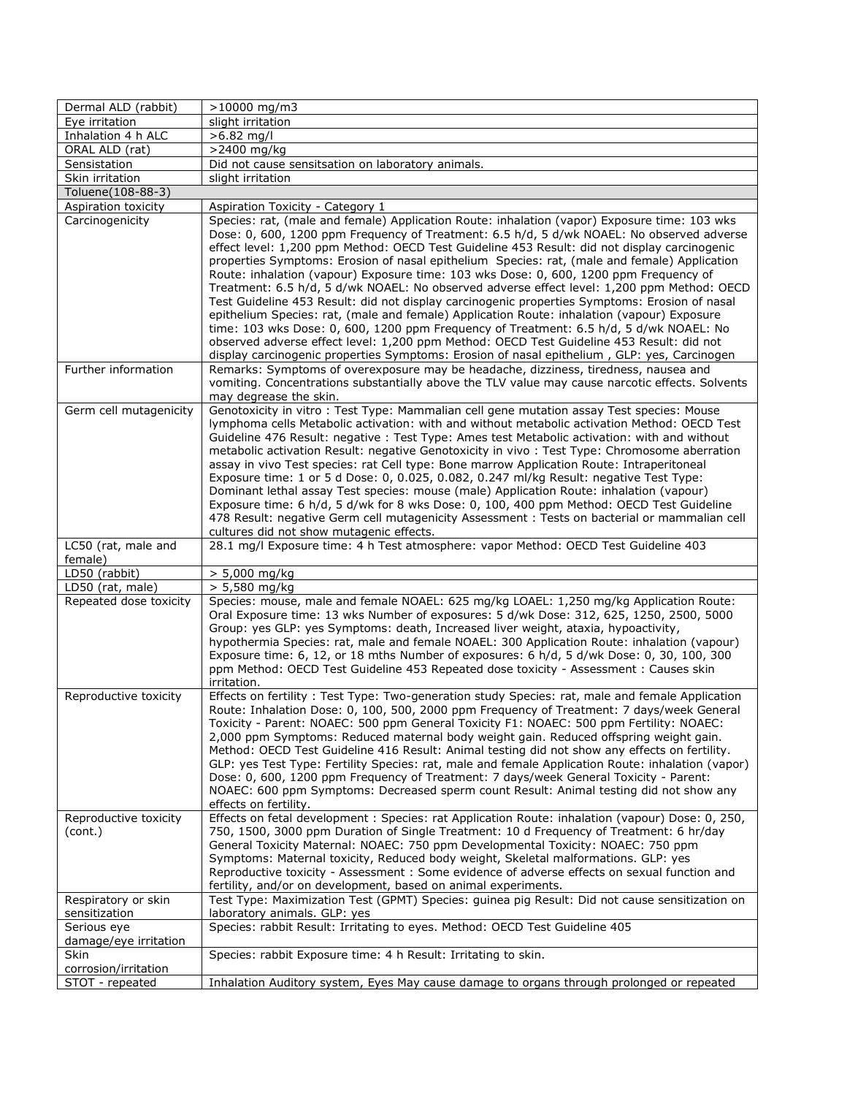| Eye irritation<br>slight irritation<br>Inhalation 4 h ALC<br>$>6.82$ mg/l<br>ORAL ALD (rat)<br>>2400 mg/kg<br>Sensistation<br>Did not cause sensitsation on laboratory animals.<br>Skin irritation<br>slight irritation<br>Toluene(108-88-3)<br>Aspiration toxicity<br>Aspiration Toxicity - Category 1<br>Species: rat, (male and female) Application Route: inhalation (vapor) Exposure time: 103 wks<br>Carcinogenicity<br>Dose: 0, 600, 1200 ppm Frequency of Treatment: 6.5 h/d, 5 d/wk NOAEL: No observed adverse<br>effect level: 1,200 ppm Method: OECD Test Guideline 453 Result: did not display carcinogenic<br>properties Symptoms: Erosion of nasal epithelium Species: rat, (male and female) Application<br>Route: inhalation (vapour) Exposure time: 103 wks Dose: 0, 600, 1200 ppm Frequency of<br>Treatment: 6.5 h/d, 5 d/wk NOAEL: No observed adverse effect level: 1,200 ppm Method: OECD<br>Test Guideline 453 Result: did not display carcinogenic properties Symptoms: Erosion of nasal<br>epithelium Species: rat, (male and female) Application Route: inhalation (vapour) Exposure<br>time: 103 wks Dose: 0, 600, 1200 ppm Frequency of Treatment: 6.5 h/d, 5 d/wk NOAEL: No<br>observed adverse effect level: 1,200 ppm Method: OECD Test Guideline 453 Result: did not<br>display carcinogenic properties Symptoms: Erosion of nasal epithelium, GLP: yes, Carcinogen<br>Further information<br>Remarks: Symptoms of overexposure may be headache, dizziness, tiredness, nausea and<br>vomiting. Concentrations substantially above the TLV value may cause narcotic effects. Solvents<br>may degrease the skin.<br>Germ cell mutagenicity<br>Genotoxicity in vitro: Test Type: Mammalian cell gene mutation assay Test species: Mouse<br>lymphoma cells Metabolic activation: with and without metabolic activation Method: OECD Test<br>Guideline 476 Result: negative: Test Type: Ames test Metabolic activation: with and without<br>metabolic activation Result: negative Genotoxicity in vivo: Test Type: Chromosome aberration<br>assay in vivo Test species: rat Cell type: Bone marrow Application Route: Intraperitoneal<br>Exposure time: 1 or 5 d Dose: 0, 0.025, 0.082, 0.247 ml/kg Result: negative Test Type:<br>Dominant lethal assay Test species: mouse (male) Application Route: inhalation (vapour)<br>Exposure time: 6 h/d, 5 d/wk for 8 wks Dose: 0, 100, 400 ppm Method: OECD Test Guideline<br>478 Result: negative Germ cell mutagenicity Assessment : Tests on bacterial or mammalian cell<br>cultures did not show mutagenic effects.<br>LC50 (rat, male and<br>28.1 mg/l Exposure time: 4 h Test atmosphere: vapor Method: OECD Test Guideline 403<br>female)<br>LD50 (rabbit)<br>> 5,000 mg/kg<br>LD50 (rat, male)<br>$> 5,580$ mg/kg<br>Species: mouse, male and female NOAEL: 625 mg/kg LOAEL: 1,250 mg/kg Application Route:<br>Repeated dose toxicity<br>Oral Exposure time: 13 wks Number of exposures: 5 d/wk Dose: 312, 625, 1250, 2500, 5000<br>Group: yes GLP: yes Symptoms: death, Increased liver weight, ataxia, hypoactivity,<br>hypothermia Species: rat, male and female NOAEL: 300 Application Route: inhalation (vapour)<br>Exposure time: 6, 12, or 18 mths Number of exposures: 6 h/d, 5 d/wk Dose: 0, 30, 100, 300<br>ppm Method: OECD Test Guideline 453 Repeated dose toxicity - Assessment : Causes skin<br>irritation.<br>Effects on fertility: Test Type: Two-generation study Species: rat, male and female Application<br>Reproductive toxicity<br>Route: Inhalation Dose: 0, 100, 500, 2000 ppm Frequency of Treatment: 7 days/week General<br>Toxicity - Parent: NOAEC: 500 ppm General Toxicity F1: NOAEC: 500 ppm Fertility: NOAEC:<br>2,000 ppm Symptoms: Reduced maternal body weight gain. Reduced offspring weight gain.<br>Method: OECD Test Guideline 416 Result: Animal testing did not show any effects on fertility.<br>GLP: yes Test Type: Fertility Species: rat, male and female Application Route: inhalation (vapor)<br>Dose: 0, 600, 1200 ppm Frequency of Treatment: 7 days/week General Toxicity - Parent:<br>NOAEC: 600 ppm Symptoms: Decreased sperm count Result: Animal testing did not show any<br>effects on fertility.<br>Effects on fetal development : Species: rat Application Route: inhalation (vapour) Dose: 0, 250,<br>Reproductive toxicity<br>750, 1500, 3000 ppm Duration of Single Treatment: 10 d Frequency of Treatment: 6 hr/day<br>(cont.)<br>General Toxicity Maternal: NOAEC: 750 ppm Developmental Toxicity: NOAEC: 750 ppm<br>Symptoms: Maternal toxicity, Reduced body weight, Skeletal malformations. GLP: yes<br>Reproductive toxicity - Assessment : Some evidence of adverse effects on sexual function and<br>fertility, and/or on development, based on animal experiments.<br>Test Type: Maximization Test (GPMT) Species: guinea pig Result: Did not cause sensitization on<br>Respiratory or skin<br>sensitization<br>laboratory animals. GLP: yes<br>Species: rabbit Result: Irritating to eyes. Method: OECD Test Guideline 405<br>Serious eye<br>damage/eye irritation<br>Species: rabbit Exposure time: 4 h Result: Irritating to skin.<br>Skin<br>corrosion/irritation<br>STOT - repeated<br>Inhalation Auditory system, Eyes May cause damage to organs through prolonged or repeated | Dermal ALD (rabbit) | $>10000$ mg/m3 |  |
|-------------------------------------------------------------------------------------------------------------------------------------------------------------------------------------------------------------------------------------------------------------------------------------------------------------------------------------------------------------------------------------------------------------------------------------------------------------------------------------------------------------------------------------------------------------------------------------------------------------------------------------------------------------------------------------------------------------------------------------------------------------------------------------------------------------------------------------------------------------------------------------------------------------------------------------------------------------------------------------------------------------------------------------------------------------------------------------------------------------------------------------------------------------------------------------------------------------------------------------------------------------------------------------------------------------------------------------------------------------------------------------------------------------------------------------------------------------------------------------------------------------------------------------------------------------------------------------------------------------------------------------------------------------------------------------------------------------------------------------------------------------------------------------------------------------------------------------------------------------------------------------------------------------------------------------------------------------------------------------------------------------------------------------------------------------------------------------------------------------------------------------------------------------------------------------------------------------------------------------------------------------------------------------------------------------------------------------------------------------------------------------------------------------------------------------------------------------------------------------------------------------------------------------------------------------------------------------------------------------------------------------------------------------------------------------------------------------------------------------------------------------------------------------------------------------------------------------------------------------------------------------------------------------------------------------------------------------------------------------------------------------------------------------------------------------------------------------------------------------------------------------------------------------------------------------------------------------------------------------------------------------------------------------------------------------------------------------------------------------------------------------------------------------------------------------------------------------------------------------------------------------------------------------------------------------------------------------------------------------------------------------------------------------------------------------------------------------------------------------------------------------------------------------------------------------------------------------------------------------------------------------------------------------------------------------------------------------------------------------------------------------------------------------------------------------------------------------------------------------------------------------------------------------------------------------------------------------------------------------------------------------------------------------------------------------------------------------------------------------------------------------------------------------------------------------------------------------------------------------------------------------------------------------------------------------------------------------------------------------------------------------------------------------------------------------------------------------------------------------------------------------------------------------------------------------------------------------------------------------------------------------------------------------------------------------------------------------------------------------------------------------------------------------------------------------------------------------------------------------------------------------------------------------------------------------------------------------------------------------------------------------------------------------------------------------------------------------------|---------------------|----------------|--|
|                                                                                                                                                                                                                                                                                                                                                                                                                                                                                                                                                                                                                                                                                                                                                                                                                                                                                                                                                                                                                                                                                                                                                                                                                                                                                                                                                                                                                                                                                                                                                                                                                                                                                                                                                                                                                                                                                                                                                                                                                                                                                                                                                                                                                                                                                                                                                                                                                                                                                                                                                                                                                                                                                                                                                                                                                                                                                                                                                                                                                                                                                                                                                                                                                                                                                                                                                                                                                                                                                                                                                                                                                                                                                                                                                                                                                                                                                                                                                                                                                                                                                                                                                                                                                                                                                                                                                                                                                                                                                                                                                                                                                                                                                                                                                                                                                                                                                                                                                                                                                                                                                                                                                                                                                                                                                                                                           |                     |                |  |
|                                                                                                                                                                                                                                                                                                                                                                                                                                                                                                                                                                                                                                                                                                                                                                                                                                                                                                                                                                                                                                                                                                                                                                                                                                                                                                                                                                                                                                                                                                                                                                                                                                                                                                                                                                                                                                                                                                                                                                                                                                                                                                                                                                                                                                                                                                                                                                                                                                                                                                                                                                                                                                                                                                                                                                                                                                                                                                                                                                                                                                                                                                                                                                                                                                                                                                                                                                                                                                                                                                                                                                                                                                                                                                                                                                                                                                                                                                                                                                                                                                                                                                                                                                                                                                                                                                                                                                                                                                                                                                                                                                                                                                                                                                                                                                                                                                                                                                                                                                                                                                                                                                                                                                                                                                                                                                                                           |                     |                |  |
|                                                                                                                                                                                                                                                                                                                                                                                                                                                                                                                                                                                                                                                                                                                                                                                                                                                                                                                                                                                                                                                                                                                                                                                                                                                                                                                                                                                                                                                                                                                                                                                                                                                                                                                                                                                                                                                                                                                                                                                                                                                                                                                                                                                                                                                                                                                                                                                                                                                                                                                                                                                                                                                                                                                                                                                                                                                                                                                                                                                                                                                                                                                                                                                                                                                                                                                                                                                                                                                                                                                                                                                                                                                                                                                                                                                                                                                                                                                                                                                                                                                                                                                                                                                                                                                                                                                                                                                                                                                                                                                                                                                                                                                                                                                                                                                                                                                                                                                                                                                                                                                                                                                                                                                                                                                                                                                                           |                     |                |  |
|                                                                                                                                                                                                                                                                                                                                                                                                                                                                                                                                                                                                                                                                                                                                                                                                                                                                                                                                                                                                                                                                                                                                                                                                                                                                                                                                                                                                                                                                                                                                                                                                                                                                                                                                                                                                                                                                                                                                                                                                                                                                                                                                                                                                                                                                                                                                                                                                                                                                                                                                                                                                                                                                                                                                                                                                                                                                                                                                                                                                                                                                                                                                                                                                                                                                                                                                                                                                                                                                                                                                                                                                                                                                                                                                                                                                                                                                                                                                                                                                                                                                                                                                                                                                                                                                                                                                                                                                                                                                                                                                                                                                                                                                                                                                                                                                                                                                                                                                                                                                                                                                                                                                                                                                                                                                                                                                           |                     |                |  |
|                                                                                                                                                                                                                                                                                                                                                                                                                                                                                                                                                                                                                                                                                                                                                                                                                                                                                                                                                                                                                                                                                                                                                                                                                                                                                                                                                                                                                                                                                                                                                                                                                                                                                                                                                                                                                                                                                                                                                                                                                                                                                                                                                                                                                                                                                                                                                                                                                                                                                                                                                                                                                                                                                                                                                                                                                                                                                                                                                                                                                                                                                                                                                                                                                                                                                                                                                                                                                                                                                                                                                                                                                                                                                                                                                                                                                                                                                                                                                                                                                                                                                                                                                                                                                                                                                                                                                                                                                                                                                                                                                                                                                                                                                                                                                                                                                                                                                                                                                                                                                                                                                                                                                                                                                                                                                                                                           |                     |                |  |
|                                                                                                                                                                                                                                                                                                                                                                                                                                                                                                                                                                                                                                                                                                                                                                                                                                                                                                                                                                                                                                                                                                                                                                                                                                                                                                                                                                                                                                                                                                                                                                                                                                                                                                                                                                                                                                                                                                                                                                                                                                                                                                                                                                                                                                                                                                                                                                                                                                                                                                                                                                                                                                                                                                                                                                                                                                                                                                                                                                                                                                                                                                                                                                                                                                                                                                                                                                                                                                                                                                                                                                                                                                                                                                                                                                                                                                                                                                                                                                                                                                                                                                                                                                                                                                                                                                                                                                                                                                                                                                                                                                                                                                                                                                                                                                                                                                                                                                                                                                                                                                                                                                                                                                                                                                                                                                                                           |                     |                |  |
|                                                                                                                                                                                                                                                                                                                                                                                                                                                                                                                                                                                                                                                                                                                                                                                                                                                                                                                                                                                                                                                                                                                                                                                                                                                                                                                                                                                                                                                                                                                                                                                                                                                                                                                                                                                                                                                                                                                                                                                                                                                                                                                                                                                                                                                                                                                                                                                                                                                                                                                                                                                                                                                                                                                                                                                                                                                                                                                                                                                                                                                                                                                                                                                                                                                                                                                                                                                                                                                                                                                                                                                                                                                                                                                                                                                                                                                                                                                                                                                                                                                                                                                                                                                                                                                                                                                                                                                                                                                                                                                                                                                                                                                                                                                                                                                                                                                                                                                                                                                                                                                                                                                                                                                                                                                                                                                                           |                     |                |  |
|                                                                                                                                                                                                                                                                                                                                                                                                                                                                                                                                                                                                                                                                                                                                                                                                                                                                                                                                                                                                                                                                                                                                                                                                                                                                                                                                                                                                                                                                                                                                                                                                                                                                                                                                                                                                                                                                                                                                                                                                                                                                                                                                                                                                                                                                                                                                                                                                                                                                                                                                                                                                                                                                                                                                                                                                                                                                                                                                                                                                                                                                                                                                                                                                                                                                                                                                                                                                                                                                                                                                                                                                                                                                                                                                                                                                                                                                                                                                                                                                                                                                                                                                                                                                                                                                                                                                                                                                                                                                                                                                                                                                                                                                                                                                                                                                                                                                                                                                                                                                                                                                                                                                                                                                                                                                                                                                           |                     |                |  |
|                                                                                                                                                                                                                                                                                                                                                                                                                                                                                                                                                                                                                                                                                                                                                                                                                                                                                                                                                                                                                                                                                                                                                                                                                                                                                                                                                                                                                                                                                                                                                                                                                                                                                                                                                                                                                                                                                                                                                                                                                                                                                                                                                                                                                                                                                                                                                                                                                                                                                                                                                                                                                                                                                                                                                                                                                                                                                                                                                                                                                                                                                                                                                                                                                                                                                                                                                                                                                                                                                                                                                                                                                                                                                                                                                                                                                                                                                                                                                                                                                                                                                                                                                                                                                                                                                                                                                                                                                                                                                                                                                                                                                                                                                                                                                                                                                                                                                                                                                                                                                                                                                                                                                                                                                                                                                                                                           |                     |                |  |
|                                                                                                                                                                                                                                                                                                                                                                                                                                                                                                                                                                                                                                                                                                                                                                                                                                                                                                                                                                                                                                                                                                                                                                                                                                                                                                                                                                                                                                                                                                                                                                                                                                                                                                                                                                                                                                                                                                                                                                                                                                                                                                                                                                                                                                                                                                                                                                                                                                                                                                                                                                                                                                                                                                                                                                                                                                                                                                                                                                                                                                                                                                                                                                                                                                                                                                                                                                                                                                                                                                                                                                                                                                                                                                                                                                                                                                                                                                                                                                                                                                                                                                                                                                                                                                                                                                                                                                                                                                                                                                                                                                                                                                                                                                                                                                                                                                                                                                                                                                                                                                                                                                                                                                                                                                                                                                                                           |                     |                |  |
|                                                                                                                                                                                                                                                                                                                                                                                                                                                                                                                                                                                                                                                                                                                                                                                                                                                                                                                                                                                                                                                                                                                                                                                                                                                                                                                                                                                                                                                                                                                                                                                                                                                                                                                                                                                                                                                                                                                                                                                                                                                                                                                                                                                                                                                                                                                                                                                                                                                                                                                                                                                                                                                                                                                                                                                                                                                                                                                                                                                                                                                                                                                                                                                                                                                                                                                                                                                                                                                                                                                                                                                                                                                                                                                                                                                                                                                                                                                                                                                                                                                                                                                                                                                                                                                                                                                                                                                                                                                                                                                                                                                                                                                                                                                                                                                                                                                                                                                                                                                                                                                                                                                                                                                                                                                                                                                                           |                     |                |  |
|                                                                                                                                                                                                                                                                                                                                                                                                                                                                                                                                                                                                                                                                                                                                                                                                                                                                                                                                                                                                                                                                                                                                                                                                                                                                                                                                                                                                                                                                                                                                                                                                                                                                                                                                                                                                                                                                                                                                                                                                                                                                                                                                                                                                                                                                                                                                                                                                                                                                                                                                                                                                                                                                                                                                                                                                                                                                                                                                                                                                                                                                                                                                                                                                                                                                                                                                                                                                                                                                                                                                                                                                                                                                                                                                                                                                                                                                                                                                                                                                                                                                                                                                                                                                                                                                                                                                                                                                                                                                                                                                                                                                                                                                                                                                                                                                                                                                                                                                                                                                                                                                                                                                                                                                                                                                                                                                           |                     |                |  |
|                                                                                                                                                                                                                                                                                                                                                                                                                                                                                                                                                                                                                                                                                                                                                                                                                                                                                                                                                                                                                                                                                                                                                                                                                                                                                                                                                                                                                                                                                                                                                                                                                                                                                                                                                                                                                                                                                                                                                                                                                                                                                                                                                                                                                                                                                                                                                                                                                                                                                                                                                                                                                                                                                                                                                                                                                                                                                                                                                                                                                                                                                                                                                                                                                                                                                                                                                                                                                                                                                                                                                                                                                                                                                                                                                                                                                                                                                                                                                                                                                                                                                                                                                                                                                                                                                                                                                                                                                                                                                                                                                                                                                                                                                                                                                                                                                                                                                                                                                                                                                                                                                                                                                                                                                                                                                                                                           |                     |                |  |
|                                                                                                                                                                                                                                                                                                                                                                                                                                                                                                                                                                                                                                                                                                                                                                                                                                                                                                                                                                                                                                                                                                                                                                                                                                                                                                                                                                                                                                                                                                                                                                                                                                                                                                                                                                                                                                                                                                                                                                                                                                                                                                                                                                                                                                                                                                                                                                                                                                                                                                                                                                                                                                                                                                                                                                                                                                                                                                                                                                                                                                                                                                                                                                                                                                                                                                                                                                                                                                                                                                                                                                                                                                                                                                                                                                                                                                                                                                                                                                                                                                                                                                                                                                                                                                                                                                                                                                                                                                                                                                                                                                                                                                                                                                                                                                                                                                                                                                                                                                                                                                                                                                                                                                                                                                                                                                                                           |                     |                |  |
|                                                                                                                                                                                                                                                                                                                                                                                                                                                                                                                                                                                                                                                                                                                                                                                                                                                                                                                                                                                                                                                                                                                                                                                                                                                                                                                                                                                                                                                                                                                                                                                                                                                                                                                                                                                                                                                                                                                                                                                                                                                                                                                                                                                                                                                                                                                                                                                                                                                                                                                                                                                                                                                                                                                                                                                                                                                                                                                                                                                                                                                                                                                                                                                                                                                                                                                                                                                                                                                                                                                                                                                                                                                                                                                                                                                                                                                                                                                                                                                                                                                                                                                                                                                                                                                                                                                                                                                                                                                                                                                                                                                                                                                                                                                                                                                                                                                                                                                                                                                                                                                                                                                                                                                                                                                                                                                                           |                     |                |  |
|                                                                                                                                                                                                                                                                                                                                                                                                                                                                                                                                                                                                                                                                                                                                                                                                                                                                                                                                                                                                                                                                                                                                                                                                                                                                                                                                                                                                                                                                                                                                                                                                                                                                                                                                                                                                                                                                                                                                                                                                                                                                                                                                                                                                                                                                                                                                                                                                                                                                                                                                                                                                                                                                                                                                                                                                                                                                                                                                                                                                                                                                                                                                                                                                                                                                                                                                                                                                                                                                                                                                                                                                                                                                                                                                                                                                                                                                                                                                                                                                                                                                                                                                                                                                                                                                                                                                                                                                                                                                                                                                                                                                                                                                                                                                                                                                                                                                                                                                                                                                                                                                                                                                                                                                                                                                                                                                           |                     |                |  |
|                                                                                                                                                                                                                                                                                                                                                                                                                                                                                                                                                                                                                                                                                                                                                                                                                                                                                                                                                                                                                                                                                                                                                                                                                                                                                                                                                                                                                                                                                                                                                                                                                                                                                                                                                                                                                                                                                                                                                                                                                                                                                                                                                                                                                                                                                                                                                                                                                                                                                                                                                                                                                                                                                                                                                                                                                                                                                                                                                                                                                                                                                                                                                                                                                                                                                                                                                                                                                                                                                                                                                                                                                                                                                                                                                                                                                                                                                                                                                                                                                                                                                                                                                                                                                                                                                                                                                                                                                                                                                                                                                                                                                                                                                                                                                                                                                                                                                                                                                                                                                                                                                                                                                                                                                                                                                                                                           |                     |                |  |
|                                                                                                                                                                                                                                                                                                                                                                                                                                                                                                                                                                                                                                                                                                                                                                                                                                                                                                                                                                                                                                                                                                                                                                                                                                                                                                                                                                                                                                                                                                                                                                                                                                                                                                                                                                                                                                                                                                                                                                                                                                                                                                                                                                                                                                                                                                                                                                                                                                                                                                                                                                                                                                                                                                                                                                                                                                                                                                                                                                                                                                                                                                                                                                                                                                                                                                                                                                                                                                                                                                                                                                                                                                                                                                                                                                                                                                                                                                                                                                                                                                                                                                                                                                                                                                                                                                                                                                                                                                                                                                                                                                                                                                                                                                                                                                                                                                                                                                                                                                                                                                                                                                                                                                                                                                                                                                                                           |                     |                |  |
|                                                                                                                                                                                                                                                                                                                                                                                                                                                                                                                                                                                                                                                                                                                                                                                                                                                                                                                                                                                                                                                                                                                                                                                                                                                                                                                                                                                                                                                                                                                                                                                                                                                                                                                                                                                                                                                                                                                                                                                                                                                                                                                                                                                                                                                                                                                                                                                                                                                                                                                                                                                                                                                                                                                                                                                                                                                                                                                                                                                                                                                                                                                                                                                                                                                                                                                                                                                                                                                                                                                                                                                                                                                                                                                                                                                                                                                                                                                                                                                                                                                                                                                                                                                                                                                                                                                                                                                                                                                                                                                                                                                                                                                                                                                                                                                                                                                                                                                                                                                                                                                                                                                                                                                                                                                                                                                                           |                     |                |  |
|                                                                                                                                                                                                                                                                                                                                                                                                                                                                                                                                                                                                                                                                                                                                                                                                                                                                                                                                                                                                                                                                                                                                                                                                                                                                                                                                                                                                                                                                                                                                                                                                                                                                                                                                                                                                                                                                                                                                                                                                                                                                                                                                                                                                                                                                                                                                                                                                                                                                                                                                                                                                                                                                                                                                                                                                                                                                                                                                                                                                                                                                                                                                                                                                                                                                                                                                                                                                                                                                                                                                                                                                                                                                                                                                                                                                                                                                                                                                                                                                                                                                                                                                                                                                                                                                                                                                                                                                                                                                                                                                                                                                                                                                                                                                                                                                                                                                                                                                                                                                                                                                                                                                                                                                                                                                                                                                           |                     |                |  |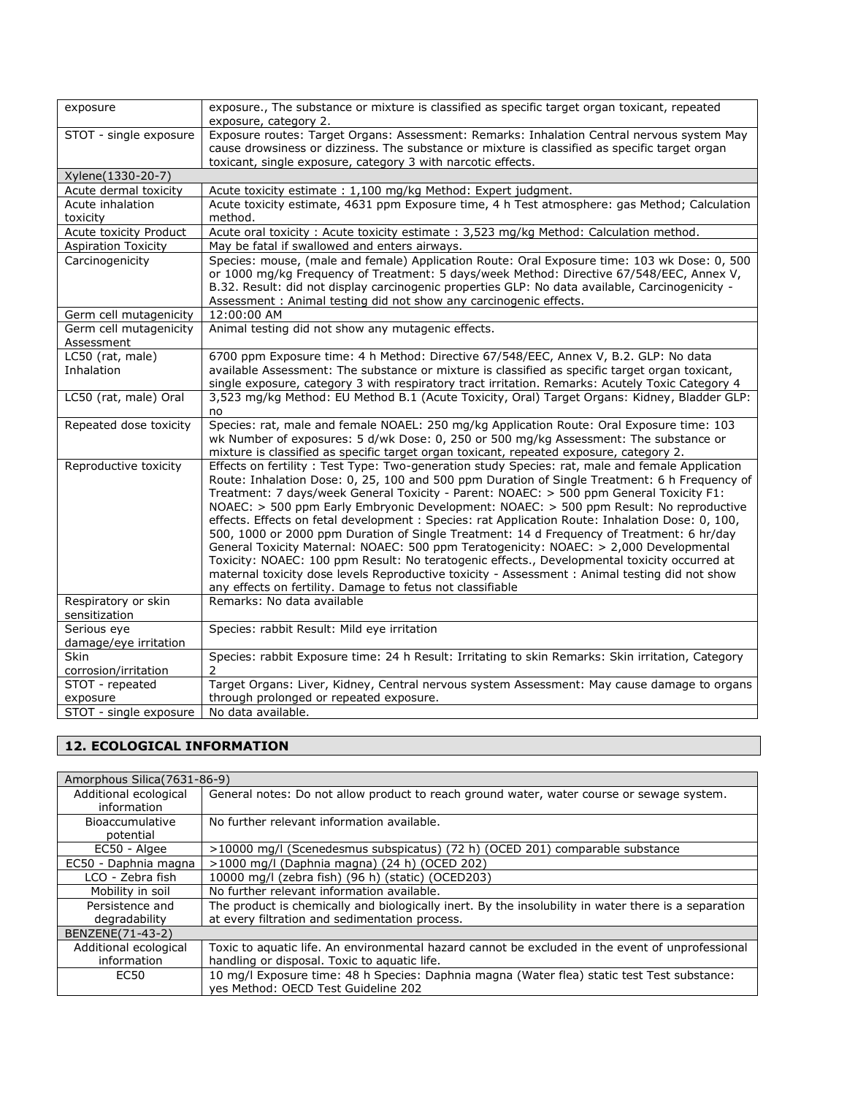| exposure                             | exposure., The substance or mixture is classified as specific target organ toxicant, repeated<br>exposure, category 2.                                                                                                                                                                                                                                                                                                                                                                                                                                                                                                                                                                                                                                                                                                                                                                                                                           |
|--------------------------------------|--------------------------------------------------------------------------------------------------------------------------------------------------------------------------------------------------------------------------------------------------------------------------------------------------------------------------------------------------------------------------------------------------------------------------------------------------------------------------------------------------------------------------------------------------------------------------------------------------------------------------------------------------------------------------------------------------------------------------------------------------------------------------------------------------------------------------------------------------------------------------------------------------------------------------------------------------|
| STOT - single exposure               | Exposure routes: Target Organs: Assessment: Remarks: Inhalation Central nervous system May<br>cause drowsiness or dizziness. The substance or mixture is classified as specific target organ                                                                                                                                                                                                                                                                                                                                                                                                                                                                                                                                                                                                                                                                                                                                                     |
|                                      | toxicant, single exposure, category 3 with narcotic effects.                                                                                                                                                                                                                                                                                                                                                                                                                                                                                                                                                                                                                                                                                                                                                                                                                                                                                     |
| Xylene(1330-20-7)                    |                                                                                                                                                                                                                                                                                                                                                                                                                                                                                                                                                                                                                                                                                                                                                                                                                                                                                                                                                  |
| Acute dermal toxicity                | Acute toxicity estimate: 1,100 mg/kg Method: Expert judgment.                                                                                                                                                                                                                                                                                                                                                                                                                                                                                                                                                                                                                                                                                                                                                                                                                                                                                    |
| Acute inhalation<br>toxicity         | Acute toxicity estimate, 4631 ppm Exposure time, 4 h Test atmosphere: gas Method; Calculation<br>method.                                                                                                                                                                                                                                                                                                                                                                                                                                                                                                                                                                                                                                                                                                                                                                                                                                         |
| Acute toxicity Product               | Acute oral toxicity : Acute toxicity estimate : 3,523 mg/kg Method: Calculation method.                                                                                                                                                                                                                                                                                                                                                                                                                                                                                                                                                                                                                                                                                                                                                                                                                                                          |
| Aspiration Toxicity                  | May be fatal if swallowed and enters airways.                                                                                                                                                                                                                                                                                                                                                                                                                                                                                                                                                                                                                                                                                                                                                                                                                                                                                                    |
| Carcinogenicity                      | Species: mouse, (male and female) Application Route: Oral Exposure time: 103 wk Dose: 0, 500<br>or 1000 mg/kg Frequency of Treatment: 5 days/week Method: Directive 67/548/EEC, Annex V,<br>B.32. Result: did not display carcinogenic properties GLP: No data available, Carcinogenicity -<br>Assessment: Animal testing did not show any carcinogenic effects.                                                                                                                                                                                                                                                                                                                                                                                                                                                                                                                                                                                 |
| Germ cell mutagenicity               | 12:00:00 AM                                                                                                                                                                                                                                                                                                                                                                                                                                                                                                                                                                                                                                                                                                                                                                                                                                                                                                                                      |
| Germ cell mutagenicity<br>Assessment | Animal testing did not show any mutagenic effects.                                                                                                                                                                                                                                                                                                                                                                                                                                                                                                                                                                                                                                                                                                                                                                                                                                                                                               |
| LC50 (rat, male)                     | 6700 ppm Exposure time: 4 h Method: Directive 67/548/EEC, Annex V, B.2. GLP: No data                                                                                                                                                                                                                                                                                                                                                                                                                                                                                                                                                                                                                                                                                                                                                                                                                                                             |
| Inhalation                           | available Assessment: The substance or mixture is classified as specific target organ toxicant,<br>single exposure, category 3 with respiratory tract irritation. Remarks: Acutely Toxic Category 4                                                                                                                                                                                                                                                                                                                                                                                                                                                                                                                                                                                                                                                                                                                                              |
| LC50 (rat, male) Oral                | 3,523 mg/kg Method: EU Method B.1 (Acute Toxicity, Oral) Target Organs: Kidney, Bladder GLP:<br>no                                                                                                                                                                                                                                                                                                                                                                                                                                                                                                                                                                                                                                                                                                                                                                                                                                               |
| Repeated dose toxicity               | Species: rat, male and female NOAEL: 250 mg/kg Application Route: Oral Exposure time: 103<br>wk Number of exposures: 5 d/wk Dose: 0, 250 or 500 mg/kg Assessment: The substance or<br>mixture is classified as specific target organ toxicant, repeated exposure, category 2.                                                                                                                                                                                                                                                                                                                                                                                                                                                                                                                                                                                                                                                                    |
| Reproductive toxicity                | Effects on fertility: Test Type: Two-generation study Species: rat, male and female Application<br>Route: Inhalation Dose: 0, 25, 100 and 500 ppm Duration of Single Treatment: 6 h Frequency of<br>Treatment: 7 days/week General Toxicity - Parent: NOAEC: > 500 ppm General Toxicity F1:<br>NOAEC: > 500 ppm Early Embryonic Development: NOAEC: > 500 ppm Result: No reproductive<br>effects. Effects on fetal development : Species: rat Application Route: Inhalation Dose: 0, 100,<br>500, 1000 or 2000 ppm Duration of Single Treatment: 14 d Frequency of Treatment: 6 hr/day<br>General Toxicity Maternal: NOAEC: 500 ppm Teratogenicity: NOAEC: > 2,000 Developmental<br>Toxicity: NOAEC: 100 ppm Result: No teratogenic effects., Developmental toxicity occurred at<br>maternal toxicity dose levels Reproductive toxicity - Assessment : Animal testing did not show<br>any effects on fertility. Damage to fetus not classifiable |
| Respiratory or skin<br>sensitization | Remarks: No data available                                                                                                                                                                                                                                                                                                                                                                                                                                                                                                                                                                                                                                                                                                                                                                                                                                                                                                                       |
| Serious eye<br>damage/eye irritation | Species: rabbit Result: Mild eye irritation                                                                                                                                                                                                                                                                                                                                                                                                                                                                                                                                                                                                                                                                                                                                                                                                                                                                                                      |
| Skin                                 | Species: rabbit Exposure time: 24 h Result: Irritating to skin Remarks: Skin irritation, Category                                                                                                                                                                                                                                                                                                                                                                                                                                                                                                                                                                                                                                                                                                                                                                                                                                                |
| corrosion/irritation                 | $\mathcal{P}$                                                                                                                                                                                                                                                                                                                                                                                                                                                                                                                                                                                                                                                                                                                                                                                                                                                                                                                                    |
| STOT - repeated                      | Target Organs: Liver, Kidney, Central nervous system Assessment: May cause damage to organs                                                                                                                                                                                                                                                                                                                                                                                                                                                                                                                                                                                                                                                                                                                                                                                                                                                      |
| exposure                             | through prolonged or repeated exposure.                                                                                                                                                                                                                                                                                                                                                                                                                                                                                                                                                                                                                                                                                                                                                                                                                                                                                                          |
| STOT - single exposure               | No data available.                                                                                                                                                                                                                                                                                                                                                                                                                                                                                                                                                                                                                                                                                                                                                                                                                                                                                                                               |

# **12. ECOLOGICAL INFORMATION**

| Amorphous Silica (7631-86-9)         |                                                                                                                                                        |
|--------------------------------------|--------------------------------------------------------------------------------------------------------------------------------------------------------|
| Additional ecological<br>information | General notes: Do not allow product to reach ground water, water course or sewage system.                                                              |
| Bioaccumulative<br>potential         | No further relevant information available.                                                                                                             |
| EC50 - Algee                         | >10000 mg/l (Scenedesmus subspicatus) (72 h) (OCED 201) comparable substance                                                                           |
| EC50 - Daphnia magna                 | $>$ 1000 mg/l (Daphnia magna) (24 h) (OCED 202)                                                                                                        |
| LCO - Zebra fish                     | 10000 mg/l (zebra fish) (96 h) (static) (OCED203)                                                                                                      |
| Mobility in soil                     | No further relevant information available.                                                                                                             |
| Persistence and<br>degradability     | The product is chemically and biologically inert. By the insolubility in water there is a separation<br>at every filtration and sedimentation process. |
| BENZENE(71-43-2)                     |                                                                                                                                                        |
| Additional ecological<br>information | Toxic to aquatic life. An environmental hazard cannot be excluded in the event of unprofessional<br>handling or disposal. Toxic to aquatic life.       |
| EC50                                 | 10 mg/l Exposure time: 48 h Species: Daphnia magna (Water flea) static test Test substance:<br>ves Method: OECD Test Guideline 202                     |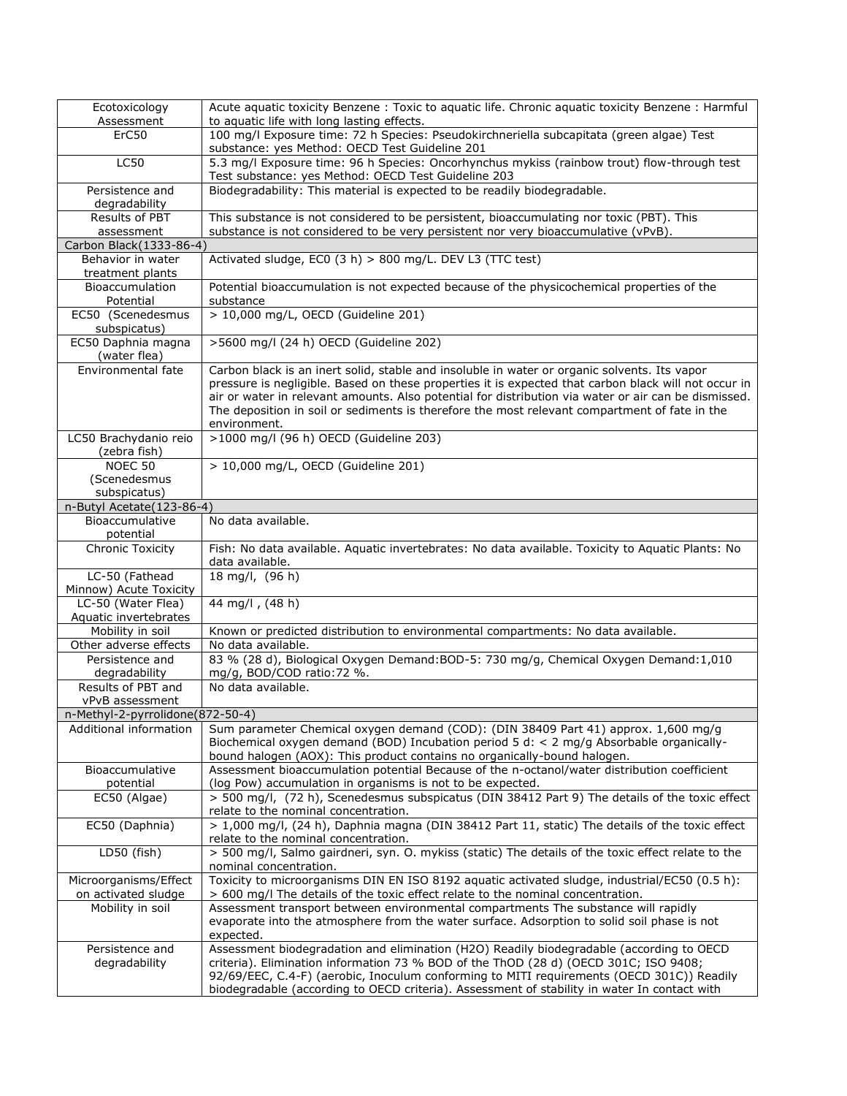| Ecotoxicology                                | Acute aquatic toxicity Benzene: Toxic to aquatic life. Chronic aquatic toxicity Benzene: Harmful                                                                                                                                                          |
|----------------------------------------------|-----------------------------------------------------------------------------------------------------------------------------------------------------------------------------------------------------------------------------------------------------------|
| Assessment                                   | to aquatic life with long lasting effects.                                                                                                                                                                                                                |
| ErC50                                        | 100 mg/l Exposure time: 72 h Species: Pseudokirchneriella subcapitata (green algae) Test<br>substance: yes Method: OECD Test Guideline 201                                                                                                                |
| <b>LC50</b>                                  | 5.3 mg/l Exposure time: 96 h Species: Oncorhynchus mykiss (rainbow trout) flow-through test<br>Test substance: yes Method: OECD Test Guideline 203                                                                                                        |
| Persistence and<br>degradability             | Biodegradability: This material is expected to be readily biodegradable.                                                                                                                                                                                  |
| Results of PBT                               | This substance is not considered to be persistent, bioaccumulating nor toxic (PBT). This                                                                                                                                                                  |
| assessment                                   | substance is not considered to be very persistent nor very bioaccumulative (vPvB).                                                                                                                                                                        |
| Carbon Black (1333-86-4)                     |                                                                                                                                                                                                                                                           |
| Behavior in water<br>treatment plants        | Activated sludge, EC0 (3 h) > 800 mg/L. DEV L3 (TTC test)                                                                                                                                                                                                 |
| Bioaccumulation<br>Potential                 | Potential bioaccumulation is not expected because of the physicochemical properties of the<br>substance                                                                                                                                                   |
| EC50 (Scenedesmus<br>subspicatus)            | > 10,000 mg/L, OECD (Guideline 201)                                                                                                                                                                                                                       |
| EC50 Daphnia magna<br>(water flea)           | >5600 mg/l (24 h) OECD (Guideline 202)                                                                                                                                                                                                                    |
| Environmental fate                           | Carbon black is an inert solid, stable and insoluble in water or organic solvents. Its vapor                                                                                                                                                              |
|                                              | pressure is negligible. Based on these properties it is expected that carbon black will not occur in                                                                                                                                                      |
|                                              | air or water in relevant amounts. Also potential for distribution via water or air can be dismissed.<br>The deposition in soil or sediments is therefore the most relevant compartment of fate in the                                                     |
|                                              | environment.                                                                                                                                                                                                                                              |
| LC50 Brachydanio reio<br>(zebra fish)        | >1000 mg/l (96 h) OECD (Guideline 203)                                                                                                                                                                                                                    |
| NOEC <sub>50</sub>                           | > 10,000 mg/L, OECD (Guideline 201)                                                                                                                                                                                                                       |
| (Scenedesmus                                 |                                                                                                                                                                                                                                                           |
| subspicatus)                                 |                                                                                                                                                                                                                                                           |
| n-Butyl Acetate(123-86-4)                    |                                                                                                                                                                                                                                                           |
| Bioaccumulative<br>potential                 | No data available.                                                                                                                                                                                                                                        |
| <b>Chronic Toxicity</b>                      | Fish: No data available. Aquatic invertebrates: No data available. Toxicity to Aquatic Plants: No<br>data available.                                                                                                                                      |
| LC-50 (Fathead                               | 18 mg/l, (96 h)                                                                                                                                                                                                                                           |
| Minnow) Acute Toxicity                       |                                                                                                                                                                                                                                                           |
| LC-50 (Water Flea)                           | 44 mg/l, (48 h)                                                                                                                                                                                                                                           |
| Aquatic invertebrates                        |                                                                                                                                                                                                                                                           |
| Mobility in soil<br>Other adverse effects    | Known or predicted distribution to environmental compartments: No data available.<br>No data available.                                                                                                                                                   |
| Persistence and                              | 83 % (28 d), Biological Oxygen Demand: BOD-5: 730 mg/g, Chemical Oxygen Demand: 1,010                                                                                                                                                                     |
| degradability                                | mg/g, BOD/COD ratio: 72 %.                                                                                                                                                                                                                                |
| Results of PBT and                           | No data available.                                                                                                                                                                                                                                        |
| vPvB assessment                              |                                                                                                                                                                                                                                                           |
| n-Methyl-2-pyrrolidone(872-50-4)             |                                                                                                                                                                                                                                                           |
| Additional information                       | Sum parameter Chemical oxygen demand (COD): (DIN 38409 Part 41) approx. 1,600 mg/g<br>Biochemical oxygen demand (BOD) Incubation period 5 d: < 2 mg/g Absorbable organically-<br>bound halogen (AOX): This product contains no organically-bound halogen. |
| Bioaccumulative                              | Assessment bioaccumulation potential Because of the n-octanol/water distribution coefficient                                                                                                                                                              |
| potential                                    | (log Pow) accumulation in organisms is not to be expected.                                                                                                                                                                                                |
| EC50 (Algae)                                 | > 500 mg/l, (72 h), Scenedesmus subspicatus (DIN 38412 Part 9) The details of the toxic effect<br>relate to the nominal concentration.                                                                                                                    |
| EC50 (Daphnia)                               | > 1,000 mg/l, (24 h), Daphnia magna (DIN 38412 Part 11, static) The details of the toxic effect<br>relate to the nominal concentration.                                                                                                                   |
| LD50 (fish)                                  | > 500 mg/l, Salmo gairdneri, syn. O. mykiss (static) The details of the toxic effect relate to the<br>nominal concentration.                                                                                                                              |
| Microorganisms/Effect<br>on activated sludge | Toxicity to microorganisms DIN EN ISO 8192 aquatic activated sludge, industrial/EC50 (0.5 h):<br>> 600 mg/l The details of the toxic effect relate to the nominal concentration.                                                                          |
| Mobility in soil                             | Assessment transport between environmental compartments The substance will rapidly                                                                                                                                                                        |
|                                              | evaporate into the atmosphere from the water surface. Adsorption to solid soil phase is not<br>expected.                                                                                                                                                  |
| Persistence and                              | Assessment biodegradation and elimination (H2O) Readily biodegradable (according to OECD                                                                                                                                                                  |
| degradability                                | criteria). Elimination information 73 % BOD of the ThOD (28 d) (OECD 301C; ISO 9408;                                                                                                                                                                      |
|                                              | 92/69/EEC, C.4-F) (aerobic, Inoculum conforming to MITI requirements (OECD 301C)) Readily<br>biodegradable (according to OECD criteria). Assessment of stability in water In contact with                                                                 |
|                                              |                                                                                                                                                                                                                                                           |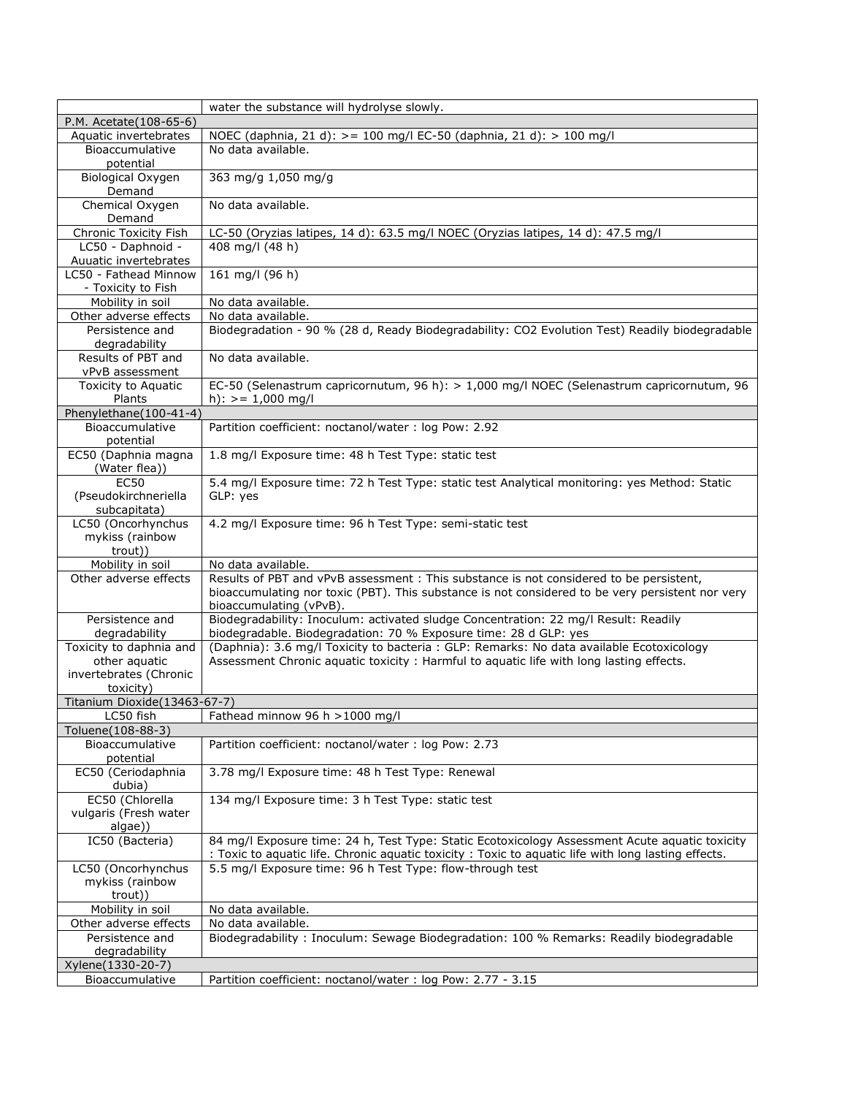|                                             | water the substance will hydrolyse slowly.                                                                                                                                                             |
|---------------------------------------------|--------------------------------------------------------------------------------------------------------------------------------------------------------------------------------------------------------|
| P.M. Acetate(108-65-6)                      |                                                                                                                                                                                                        |
| Aquatic invertebrates                       | NOEC (daphnia, 21 d): > = 100 mg/l EC-50 (daphnia, 21 d): > 100 mg/l                                                                                                                                   |
| Bioaccumulative<br>potential                | No data available.                                                                                                                                                                                     |
| Biological Oxygen<br>Demand                 | 363 mg/g 1,050 mg/g                                                                                                                                                                                    |
| Chemical Oxygen<br>Demand                   | No data available.                                                                                                                                                                                     |
| Chronic Toxicity Fish                       | LC-50 (Oryzias latipes, 14 d): 63.5 mg/l NOEC (Oryzias latipes, 14 d): 47.5 mg/l                                                                                                                       |
| LC50 - Daphnoid -                           | 408 mg/l (48 h)                                                                                                                                                                                        |
| Auuatic invertebrates                       |                                                                                                                                                                                                        |
| LC50 - Fathead Minnow<br>- Toxicity to Fish | 161 mg/l (96 h)                                                                                                                                                                                        |
| Mobility in soil                            | No data available.                                                                                                                                                                                     |
| Other adverse effects                       | No data available.                                                                                                                                                                                     |
| Persistence and<br>degradability            | Biodegradation - 90 % (28 d, Ready Biodegradability: CO2 Evolution Test) Readily biodegradable                                                                                                         |
| Results of PBT and<br>vPvB assessment       | No data available.                                                                                                                                                                                     |
| Toxicity to Aquatic                         | EC-50 (Selenastrum capricornutum, 96 h): > 1,000 mg/l NOEC (Selenastrum capricornutum, 96                                                                                                              |
| Plants                                      | h): $> = 1,000$ mg/l                                                                                                                                                                                   |
| Phenylethane(100-41-4)                      |                                                                                                                                                                                                        |
| Bioaccumulative<br>potential                | Partition coefficient: noctanol/water: log Pow: 2.92                                                                                                                                                   |
| EC50 (Daphnia magna<br>(Water flea))        | 1.8 mg/l Exposure time: 48 h Test Type: static test                                                                                                                                                    |
| <b>EC50</b>                                 | 5.4 mg/l Exposure time: 72 h Test Type: static test Analytical monitoring: yes Method: Static                                                                                                          |
| (Pseudokirchneriella<br>subcapitata)        | GLP: yes                                                                                                                                                                                               |
| LC50 (Oncorhynchus                          | 4.2 mg/l Exposure time: 96 h Test Type: semi-static test                                                                                                                                               |
| mykiss (rainbow<br>trout))                  |                                                                                                                                                                                                        |
| Mobility in soil                            | No data available.                                                                                                                                                                                     |
| Other adverse effects                       | Results of PBT and vPvB assessment : This substance is not considered to be persistent,                                                                                                                |
|                                             | bioaccumulating nor toxic (PBT). This substance is not considered to be very persistent nor very<br>bioaccumulating (vPvB).                                                                            |
| Persistence and<br>degradability            | Biodegradability: Inoculum: activated sludge Concentration: 22 mg/l Result: Readily<br>biodegradable. Biodegradation: 70 % Exposure time: 28 d GLP: yes                                                |
| Toxicity to daphnia and                     | (Daphnia): 3.6 mg/l Toxicity to bacteria : GLP: Remarks: No data available Ecotoxicology                                                                                                               |
| other aquatic                               | Assessment Chronic aquatic toxicity: Harmful to aquatic life with long lasting effects.                                                                                                                |
| invertebrates (Chronic                      |                                                                                                                                                                                                        |
| toxicity)                                   |                                                                                                                                                                                                        |
| Titanium Dioxide(13463-67-7)                |                                                                                                                                                                                                        |
| LC50 fish                                   | Fathead minnow 96 h >1000 mg/l                                                                                                                                                                         |
| Toluene(108-88-3)                           |                                                                                                                                                                                                        |
| Bioaccumulative<br>potential                | Partition coefficient: noctanol/water : log Pow: 2.73                                                                                                                                                  |
| EC50 (Ceriodaphnia<br>dubia)                | 3.78 mg/l Exposure time: 48 h Test Type: Renewal                                                                                                                                                       |
| EC50 (Chlorella                             | 134 mg/l Exposure time: 3 h Test Type: static test                                                                                                                                                     |
| vulgaris (Fresh water<br>algae))            |                                                                                                                                                                                                        |
| IC50 (Bacteria)                             | 84 mg/l Exposure time: 24 h, Test Type: Static Ecotoxicology Assessment Acute aquatic toxicity<br>: Toxic to aquatic life. Chronic aquatic toxicity : Toxic to aquatic life with long lasting effects. |
| LC50 (Oncorhynchus                          | 5.5 mg/l Exposure time: 96 h Test Type: flow-through test                                                                                                                                              |
| mykiss (rainbow<br>trout))                  |                                                                                                                                                                                                        |
| Mobility in soil                            | No data available.                                                                                                                                                                                     |
| Other adverse effects                       | No data available.                                                                                                                                                                                     |
| Persistence and                             | Biodegradability: Inoculum: Sewage Biodegradation: 100 % Remarks: Readily biodegradable                                                                                                                |
| degradability                               |                                                                                                                                                                                                        |
| Xylene(1330-20-7)                           |                                                                                                                                                                                                        |
| Bioaccumulative                             | Partition coefficient: noctanol/water: log Pow: 2.77 - 3.15                                                                                                                                            |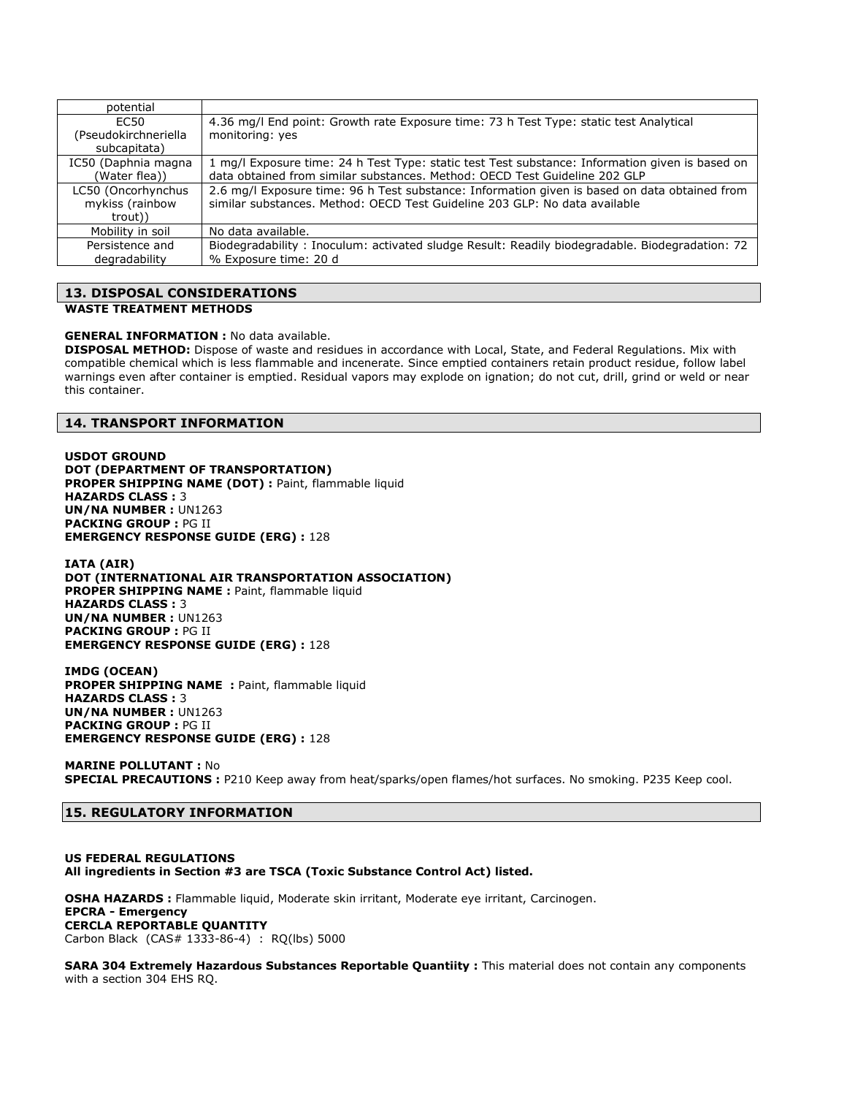| potential            |                                                                                                 |
|----------------------|-------------------------------------------------------------------------------------------------|
| EC50                 | 4.36 mg/l End point: Growth rate Exposure time: 73 h Test Type: static test Analytical          |
| (Pseudokirchneriella | monitoring: yes                                                                                 |
| subcapitata)         |                                                                                                 |
| IC50 (Daphnia magna  | 1 mg/l Exposure time: 24 h Test Type: static test Test substance: Information given is based on |
| (Water flea))        | data obtained from similar substances. Method: OECD Test Guideline 202 GLP                      |
| LC50 (Oncorhynchus   | 2.6 mg/l Exposure time: 96 h Test substance: Information given is based on data obtained from   |
| mykiss (rainbow      | similar substances. Method: OECD Test Guideline 203 GLP: No data available                      |
| trout))              |                                                                                                 |
| Mobility in soil     | No data available.                                                                              |
| Persistence and      | Biodegradability: Inoculum: activated sludge Result: Readily biodegradable. Biodegradation: 72  |
| degradability        | % Exposure time: 20 d                                                                           |

## **13. DISPOSAL CONSIDERATIONS**

## **WASTE TREATMENT METHODS**

## **GENERAL INFORMATION :** No data available.

**DISPOSAL METHOD:** Dispose of waste and residues in accordance with Local, State, and Federal Regulations. Mix with compatible chemical which is less flammable and incenerate. Since emptied containers retain product residue, follow label warnings even after container is emptied. Residual vapors may explode on ignation; do not cut, drill, grind or weld or near this container.

## **14. TRANSPORT INFORMATION**

**USDOT GROUND DOT (DEPARTMENT OF TRANSPORTATION)** PROPER SHIPPING NAME (DOT) : Paint, flammable liquid **HAZARDS CLASS :** 3 **UN/NA NUMBER :** UN1263 **PACKING GROUP :** PG II **EMERGENCY RESPONSE GUIDE (ERG) :** 128

**IATA (AIR) DOT (INTERNATIONAL AIR TRANSPORTATION ASSOCIATION)** PROPER SHIPPING NAME : Paint, flammable liquid **HAZARDS CLASS :** 3 **UN/NA NUMBER :** UN1263 **PACKING GROUP :** PG II **EMERGENCY RESPONSE GUIDE (ERG) :** 128

**IMDG (OCEAN) PROPER SHIPPING NAME : Paint, flammable liquid HAZARDS CLASS :** 3 **UN/NA NUMBER :** UN1263 **PACKING GROUP :** PG II **EMERGENCY RESPONSE GUIDE (ERG) :** 128

**MARINE POLLUTANT :** No **SPECIAL PRECAUTIONS :** P210 Keep away from heat/sparks/open flames/hot surfaces. No smoking. P235 Keep cool.

#### **15. REGULATORY INFORMATION**

**US FEDERAL REGULATIONS All ingredients in Section #3 are TSCA (Toxic Substance Control Act) listed.**

**OSHA HAZARDS :** Flammable liquid, Moderate skin irritant, Moderate eye irritant, Carcinogen. **EPCRA - Emergency CERCLA REPORTABLE QUANTITY** Carbon Black (CAS# 1333-86-4) : RQ(lbs) 5000

**SARA 304 Extremely Hazardous Substances Reportable Quantiity :** This material does not contain any components with a section 304 EHS RQ.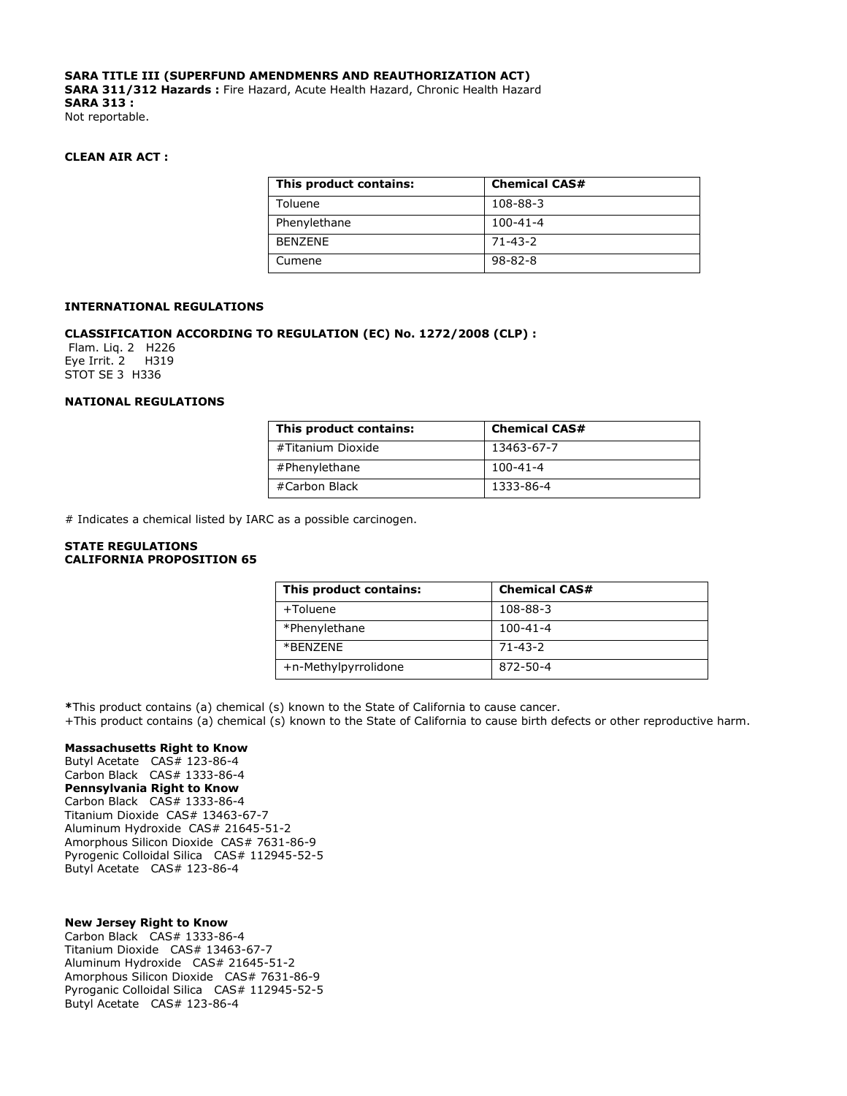**SARA TITLE III (SUPERFUND AMENDMENRS AND REAUTHORIZATION ACT) SARA 311/312 Hazards :** Fire Hazard, Acute Health Hazard, Chronic Health Hazard **SARA 313 :** Not reportable.

#### **CLEAN AIR ACT :**

| This product contains: | <b>Chemical CAS#</b> |
|------------------------|----------------------|
| Toluene                | 108-88-3             |
| Phenylethane           | $100 - 41 - 4$       |
| <b>BFN7FNF</b>         | $71 - 43 - 2$        |
| Cumene                 | $98 - 82 - 8$        |

#### **INTERNATIONAL REGULATIONS**

## **CLASSIFICATION ACCORDING TO REGULATION (EC) No. 1272/2008 (CLP) :**

Flam. Liq. 2 H226 Eye Irrit. 2 H319 STOT SE 3 H336

#### **NATIONAL REGULATIONS**

| This product contains: | <b>Chemical CAS#</b> |
|------------------------|----------------------|
| #Titanium Dioxide      | 13463-67-7           |
| #Phenylethane          | $100 - 41 - 4$       |
| #Carbon Black          | 1333-86-4            |

# Indicates a chemical listed by IARC as a possible carcinogen.

#### **STATE REGULATIONS CALIFORNIA PROPOSITION 65**

| This product contains: | <b>Chemical CAS#</b> |
|------------------------|----------------------|
| +Toluene               | 108-88-3             |
| *Phenylethane          | $100 - 41 - 4$       |
| *BFN7FNF               | 71-43-2              |
| +n-Methylpyrrolidone   | 872-50-4             |

**\***This product contains (a) chemical (s) known to the State of California to cause cancer.

+This product contains (a) chemical (s) known to the State of California to cause birth defects or other reproductive harm.

#### **Massachusetts Right to Know**

Butyl Acetate CAS# 123-86-4 Carbon Black CAS# 1333-86-4 **Pennsylvania Right to Know** Carbon Black CAS# 1333-86-4 Titanium Dioxide CAS# 13463-67-7 Aluminum Hydroxide CAS# 21645-51-2 Amorphous Silicon Dioxide CAS# 7631-86-9 Pyrogenic Colloidal Silica CAS# 112945-52-5 Butyl Acetate CAS# 123-86-4

## **New Jersey Right to Know**

Carbon Black CAS# 1333-86-4 Titanium Dioxide CAS# 13463-67-7 Aluminum Hydroxide CAS# 21645-51-2 Amorphous Silicon Dioxide CAS# 7631-86-9 Pyroganic Colloidal Silica CAS# 112945-52-5 Butyl Acetate CAS# 123-86-4